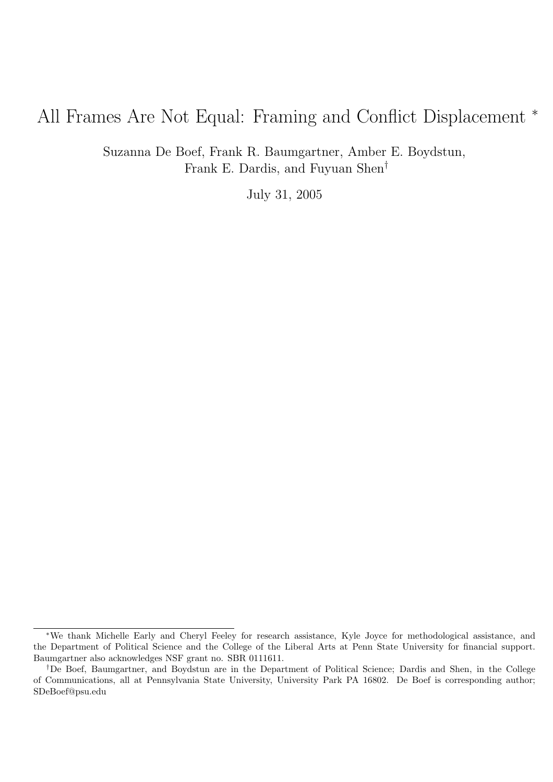# All Frames Are Not Equal: Framing and Conflict Displacement <sup>∗</sup>

Suzanna De Boef, Frank R. Baumgartner, Amber E. Boydstun, Frank E. Dardis, and Fuyuan Shen†

July 31, 2005

<sup>∗</sup>We thank Michelle Early and Cheryl Feeley for research assistance, Kyle Joyce for methodological assistance, and the Department of Political Science and the College of the Liberal Arts at Penn State University for financial support. Baumgartner also acknowledges NSF grant no. SBR 0111611.

<sup>†</sup>De Boef, Baumgartner, and Boydstun are in the Department of Political Science; Dardis and Shen, in the College of Communications, all at Pennsylvania State University, University Park PA 16802. De Boef is corresponding author; SDeBoef@psu.edu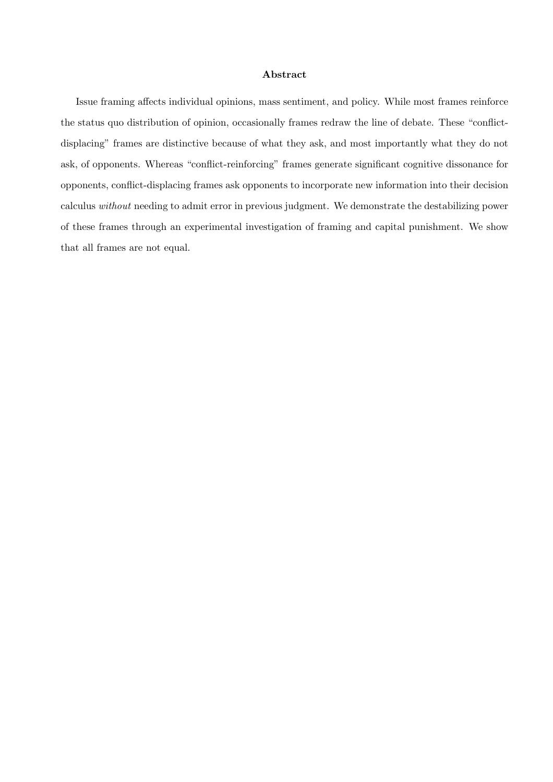### Abstract

Issue framing affects individual opinions, mass sentiment, and policy. While most frames reinforce the status quo distribution of opinion, occasionally frames redraw the line of debate. These "conflictdisplacing" frames are distinctive because of what they ask, and most importantly what they do not ask, of opponents. Whereas "conflict-reinforcing" frames generate significant cognitive dissonance for opponents, conflict-displacing frames ask opponents to incorporate new information into their decision calculus without needing to admit error in previous judgment. We demonstrate the destabilizing power of these frames through an experimental investigation of framing and capital punishment. We show that all frames are not equal.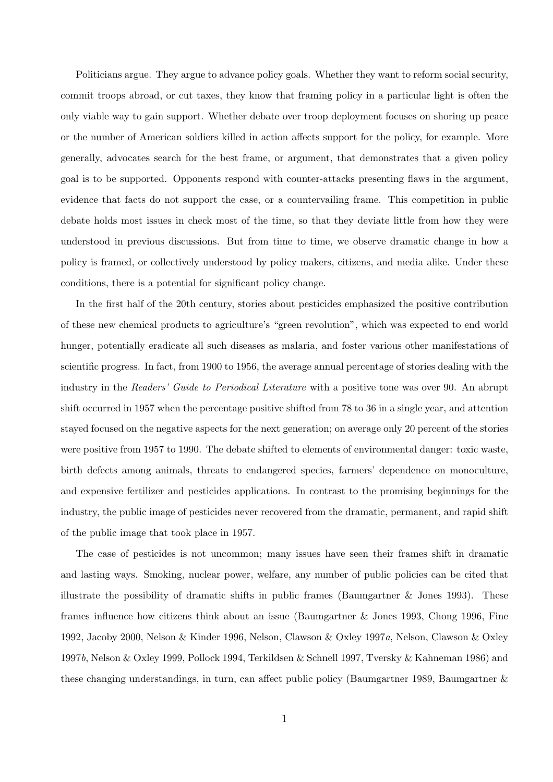Politicians argue. They argue to advance policy goals. Whether they want to reform social security, commit troops abroad, or cut taxes, they know that framing policy in a particular light is often the only viable way to gain support. Whether debate over troop deployment focuses on shoring up peace or the number of American soldiers killed in action affects support for the policy, for example. More generally, advocates search for the best frame, or argument, that demonstrates that a given policy goal is to be supported. Opponents respond with counter-attacks presenting flaws in the argument, evidence that facts do not support the case, or a countervailing frame. This competition in public debate holds most issues in check most of the time, so that they deviate little from how they were understood in previous discussions. But from time to time, we observe dramatic change in how a policy is framed, or collectively understood by policy makers, citizens, and media alike. Under these conditions, there is a potential for significant policy change.

In the first half of the 20th century, stories about pesticides emphasized the positive contribution of these new chemical products to agriculture's "green revolution", which was expected to end world hunger, potentially eradicate all such diseases as malaria, and foster various other manifestations of scientific progress. In fact, from 1900 to 1956, the average annual percentage of stories dealing with the industry in the Readers' Guide to Periodical Literature with a positive tone was over 90. An abrupt shift occurred in 1957 when the percentage positive shifted from 78 to 36 in a single year, and attention stayed focused on the negative aspects for the next generation; on average only 20 percent of the stories were positive from 1957 to 1990. The debate shifted to elements of environmental danger: toxic waste, birth defects among animals, threats to endangered species, farmers' dependence on monoculture, and expensive fertilizer and pesticides applications. In contrast to the promising beginnings for the industry, the public image of pesticides never recovered from the dramatic, permanent, and rapid shift of the public image that took place in 1957.

The case of pesticides is not uncommon; many issues have seen their frames shift in dramatic and lasting ways. Smoking, nuclear power, welfare, any number of public policies can be cited that illustrate the possibility of dramatic shifts in public frames (Baumgartner & Jones 1993). These frames influence how citizens think about an issue (Baumgartner & Jones 1993, Chong 1996, Fine 1992, Jacoby 2000, Nelson & Kinder 1996, Nelson, Clawson & Oxley 1997a, Nelson, Clawson & Oxley 1997b, Nelson & Oxley 1999, Pollock 1994, Terkildsen & Schnell 1997, Tversky & Kahneman 1986) and these changing understandings, in turn, can affect public policy (Baumgartner 1989, Baumgartner &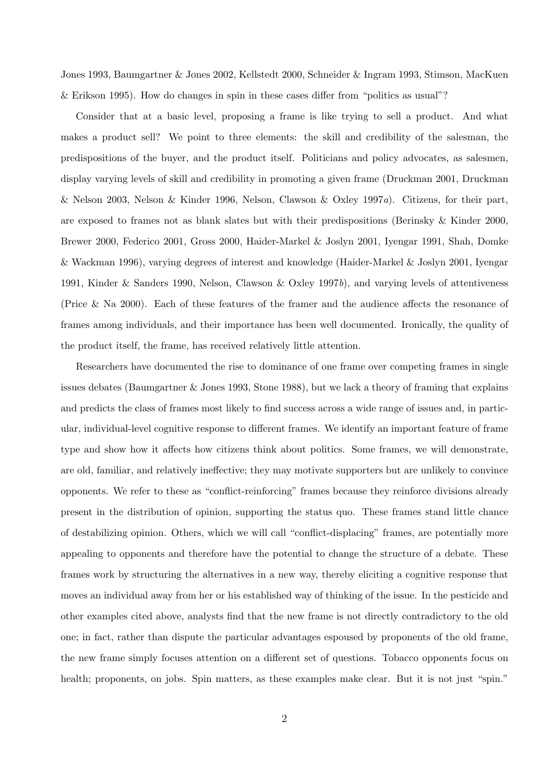Jones 1993, Baumgartner & Jones 2002, Kellstedt 2000, Schneider & Ingram 1993, Stimson, MacKuen & Erikson 1995). How do changes in spin in these cases differ from "politics as usual"?

Consider that at a basic level, proposing a frame is like trying to sell a product. And what makes a product sell? We point to three elements: the skill and credibility of the salesman, the predispositions of the buyer, and the product itself. Politicians and policy advocates, as salesmen, display varying levels of skill and credibility in promoting a given frame (Druckman 2001, Druckman & Nelson 2003, Nelson & Kinder 1996, Nelson, Clawson & Oxley 1997a). Citizens, for their part, are exposed to frames not as blank slates but with their predispositions (Berinsky & Kinder 2000, Brewer 2000, Federico 2001, Gross 2000, Haider-Markel & Joslyn 2001, Iyengar 1991, Shah, Domke & Wackman 1996), varying degrees of interest and knowledge (Haider-Markel & Joslyn 2001, Iyengar 1991, Kinder & Sanders 1990, Nelson, Clawson & Oxley 1997b), and varying levels of attentiveness (Price & Na 2000). Each of these features of the framer and the audience affects the resonance of frames among individuals, and their importance has been well documented. Ironically, the quality of the product itself, the frame, has received relatively little attention.

Researchers have documented the rise to dominance of one frame over competing frames in single issues debates (Baumgartner & Jones 1993, Stone 1988), but we lack a theory of framing that explains and predicts the class of frames most likely to find success across a wide range of issues and, in particular, individual-level cognitive response to different frames. We identify an important feature of frame type and show how it affects how citizens think about politics. Some frames, we will demonstrate, are old, familiar, and relatively ineffective; they may motivate supporters but are unlikely to convince opponents. We refer to these as "conflict-reinforcing" frames because they reinforce divisions already present in the distribution of opinion, supporting the status quo. These frames stand little chance of destabilizing opinion. Others, which we will call "conflict-displacing" frames, are potentially more appealing to opponents and therefore have the potential to change the structure of a debate. These frames work by structuring the alternatives in a new way, thereby eliciting a cognitive response that moves an individual away from her or his established way of thinking of the issue. In the pesticide and other examples cited above, analysts find that the new frame is not directly contradictory to the old one; in fact, rather than dispute the particular advantages espoused by proponents of the old frame, the new frame simply focuses attention on a different set of questions. Tobacco opponents focus on health; proponents, on jobs. Spin matters, as these examples make clear. But it is not just "spin."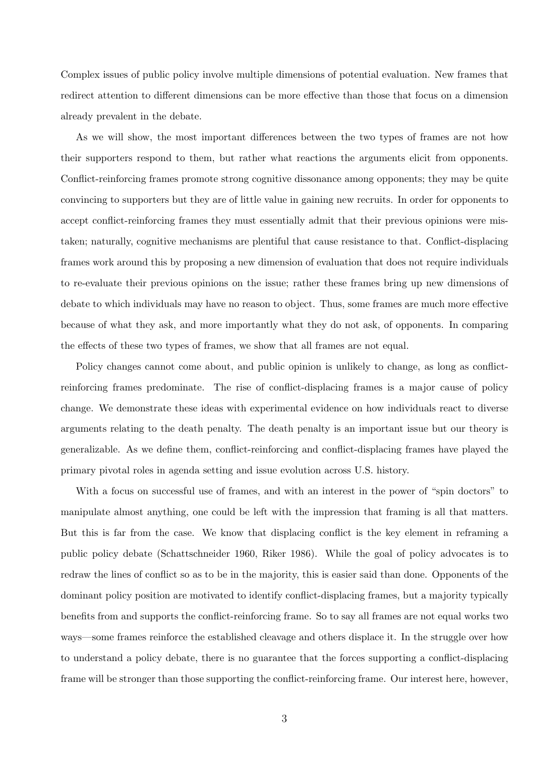Complex issues of public policy involve multiple dimensions of potential evaluation. New frames that redirect attention to different dimensions can be more effective than those that focus on a dimension already prevalent in the debate.

As we will show, the most important differences between the two types of frames are not how their supporters respond to them, but rather what reactions the arguments elicit from opponents. Conflict-reinforcing frames promote strong cognitive dissonance among opponents; they may be quite convincing to supporters but they are of little value in gaining new recruits. In order for opponents to accept conflict-reinforcing frames they must essentially admit that their previous opinions were mistaken; naturally, cognitive mechanisms are plentiful that cause resistance to that. Conflict-displacing frames work around this by proposing a new dimension of evaluation that does not require individuals to re-evaluate their previous opinions on the issue; rather these frames bring up new dimensions of debate to which individuals may have no reason to object. Thus, some frames are much more effective because of what they ask, and more importantly what they do not ask, of opponents. In comparing the effects of these two types of frames, we show that all frames are not equal.

Policy changes cannot come about, and public opinion is unlikely to change, as long as conflictreinforcing frames predominate. The rise of conflict-displacing frames is a major cause of policy change. We demonstrate these ideas with experimental evidence on how individuals react to diverse arguments relating to the death penalty. The death penalty is an important issue but our theory is generalizable. As we define them, conflict-reinforcing and conflict-displacing frames have played the primary pivotal roles in agenda setting and issue evolution across U.S. history.

With a focus on successful use of frames, and with an interest in the power of "spin doctors" to manipulate almost anything, one could be left with the impression that framing is all that matters. But this is far from the case. We know that displacing conflict is the key element in reframing a public policy debate (Schattschneider 1960, Riker 1986). While the goal of policy advocates is to redraw the lines of conflict so as to be in the majority, this is easier said than done. Opponents of the dominant policy position are motivated to identify conflict-displacing frames, but a majority typically benefits from and supports the conflict-reinforcing frame. So to say all frames are not equal works two ways—some frames reinforce the established cleavage and others displace it. In the struggle over how to understand a policy debate, there is no guarantee that the forces supporting a conflict-displacing frame will be stronger than those supporting the conflict-reinforcing frame. Our interest here, however,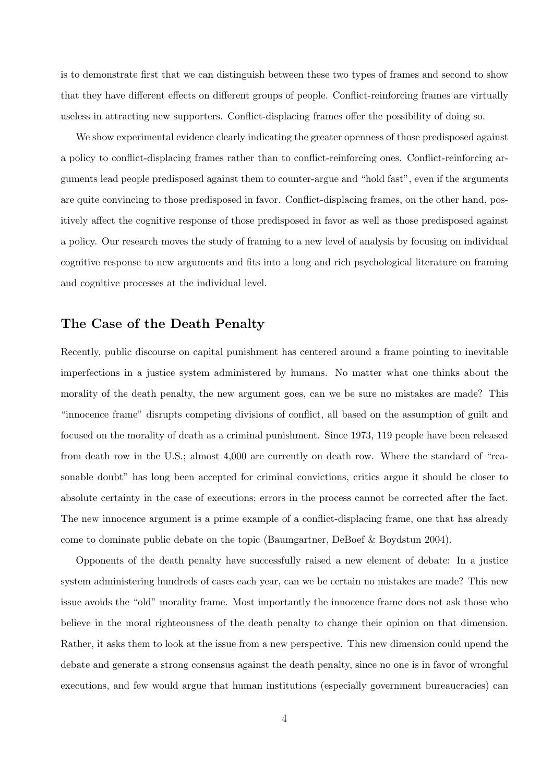is to demonstrate first that we can distinguish between these two types of frames and second to show that they have different effects on different groups of people. Conflict-reinforcing frames are virtually useless in attracting new supporters. Conflict-displacing frames offer the possibility of doing so.

We show experimental evidence clearly indicating the greater openness of those predisposed against a policy to conflict-displacing frames rather than to conflict-reinforcing ones. Conflict-reinforcing arguments lead people predisposed against them to counter-argue and "hold fast", even if the arguments are quite convincing to those predisposed in favor. Conflict-displacing frames, on the other hand, positively affect the cognitive response of those predisposed in favor as well as those predisposed against a policy. Our research moves the study of framing to a new level of analysis by focusing on individual cognitive response to new arguments and fits into a long and rich psychological literature on framing and cognitive processes at the individual level.

## The Case of the Death Penalty

Recently, public discourse on capital punishment has centered around a frame pointing to inevitable imperfections in a justice system administered by humans. No matter what one thinks about the morality of the death penalty, the new argument goes, can we be sure no mistakes are made? This "innocence frame" disrupts competing divisions of conflict, all based on the assumption of guilt and focused on the morality of death as a criminal punishment. Since 1973, 119 people have been released from death row in the U.S.; almost 4,000 are currently on death row. Where the standard of "reasonable doubt" has long been accepted for criminal convictions, critics argue it should be closer to absolute certainty in the case of executions; errors in the process cannot be corrected after the fact. The new innocence argument is a prime example of a conflict-displacing frame, one that has already come to dominate public debate on the topic (Baumgartner, DeBoef & Boydstun 2004).

Opponents of the death penalty have successfully raised a new element of debate: In a justice system administering hundreds of cases each year, can we be certain no mistakes are made? This new issue avoids the "old" morality frame. Most importantly the innocence frame does not ask those who believe in the moral righteousness of the death penalty to change their opinion on that dimension. Rather, it asks them to look at the issue from a new perspective. This new dimension could upend the debate and generate a strong consensus against the death penalty, since no one is in favor of wrongful executions, and few would argue that human institutions (especially government bureaucracies) can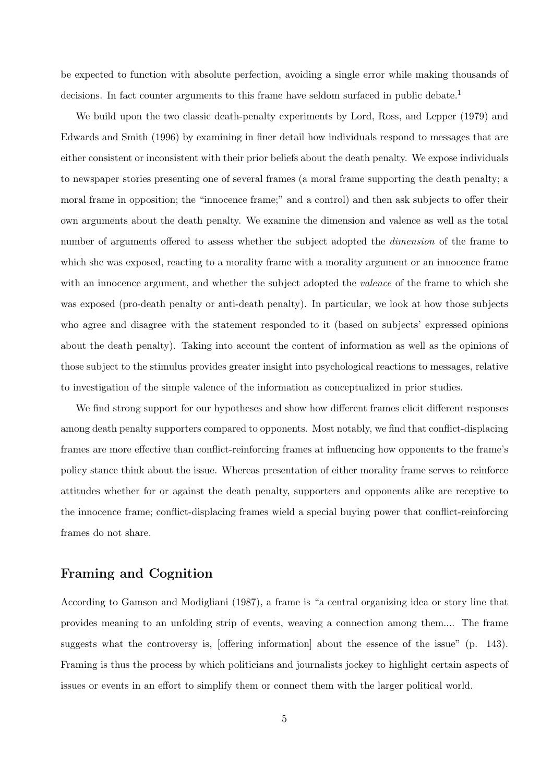be expected to function with absolute perfection, avoiding a single error while making thousands of decisions. In fact counter arguments to this frame have seldom surfaced in public debate.<sup>1</sup>

We build upon the two classic death-penalty experiments by Lord, Ross, and Lepper (1979) and Edwards and Smith (1996) by examining in finer detail how individuals respond to messages that are either consistent or inconsistent with their prior beliefs about the death penalty. We expose individuals to newspaper stories presenting one of several frames (a moral frame supporting the death penalty; a moral frame in opposition; the "innocence frame;" and a control) and then ask subjects to offer their own arguments about the death penalty. We examine the dimension and valence as well as the total number of arguments offered to assess whether the subject adopted the *dimension* of the frame to which she was exposed, reacting to a morality frame with a morality argument or an innocence frame with an innocence argument, and whether the subject adopted the *valence* of the frame to which she was exposed (pro-death penalty or anti-death penalty). In particular, we look at how those subjects who agree and disagree with the statement responded to it (based on subjects' expressed opinions about the death penalty). Taking into account the content of information as well as the opinions of those subject to the stimulus provides greater insight into psychological reactions to messages, relative to investigation of the simple valence of the information as conceptualized in prior studies.

We find strong support for our hypotheses and show how different frames elicit different responses among death penalty supporters compared to opponents. Most notably, we find that conflict-displacing frames are more effective than conflict-reinforcing frames at influencing how opponents to the frame's policy stance think about the issue. Whereas presentation of either morality frame serves to reinforce attitudes whether for or against the death penalty, supporters and opponents alike are receptive to the innocence frame; conflict-displacing frames wield a special buying power that conflict-reinforcing frames do not share.

## Framing and Cognition

According to Gamson and Modigliani (1987), a frame is "a central organizing idea or story line that provides meaning to an unfolding strip of events, weaving a connection among them.... The frame suggests what the controversy is, [offering information] about the essence of the issue" (p. 143). Framing is thus the process by which politicians and journalists jockey to highlight certain aspects of issues or events in an effort to simplify them or connect them with the larger political world.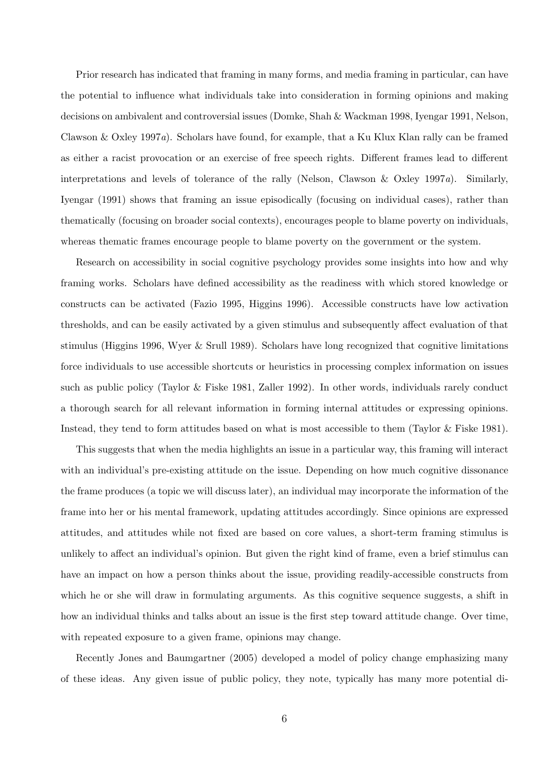Prior research has indicated that framing in many forms, and media framing in particular, can have the potential to influence what individuals take into consideration in forming opinions and making decisions on ambivalent and controversial issues (Domke, Shah & Wackman 1998, Iyengar 1991, Nelson, Clawson & Oxley 1997a). Scholars have found, for example, that a Ku Klux Klan rally can be framed as either a racist provocation or an exercise of free speech rights. Different frames lead to different interpretations and levels of tolerance of the rally (Nelson, Clawson & Oxley 1997a). Similarly, Iyengar (1991) shows that framing an issue episodically (focusing on individual cases), rather than thematically (focusing on broader social contexts), encourages people to blame poverty on individuals, whereas thematic frames encourage people to blame poverty on the government or the system.

Research on accessibility in social cognitive psychology provides some insights into how and why framing works. Scholars have defined accessibility as the readiness with which stored knowledge or constructs can be activated (Fazio 1995, Higgins 1996). Accessible constructs have low activation thresholds, and can be easily activated by a given stimulus and subsequently affect evaluation of that stimulus (Higgins 1996, Wyer & Srull 1989). Scholars have long recognized that cognitive limitations force individuals to use accessible shortcuts or heuristics in processing complex information on issues such as public policy (Taylor & Fiske 1981, Zaller 1992). In other words, individuals rarely conduct a thorough search for all relevant information in forming internal attitudes or expressing opinions. Instead, they tend to form attitudes based on what is most accessible to them (Taylor & Fiske 1981).

This suggests that when the media highlights an issue in a particular way, this framing will interact with an individual's pre-existing attitude on the issue. Depending on how much cognitive dissonance the frame produces (a topic we will discuss later), an individual may incorporate the information of the frame into her or his mental framework, updating attitudes accordingly. Since opinions are expressed attitudes, and attitudes while not fixed are based on core values, a short-term framing stimulus is unlikely to affect an individual's opinion. But given the right kind of frame, even a brief stimulus can have an impact on how a person thinks about the issue, providing readily-accessible constructs from which he or she will draw in formulating arguments. As this cognitive sequence suggests, a shift in how an individual thinks and talks about an issue is the first step toward attitude change. Over time, with repeated exposure to a given frame, opinions may change.

Recently Jones and Baumgartner (2005) developed a model of policy change emphasizing many of these ideas. Any given issue of public policy, they note, typically has many more potential di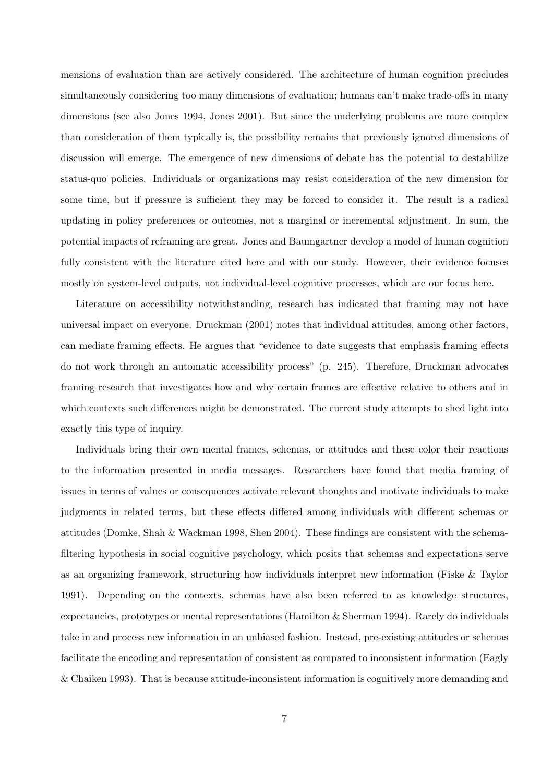mensions of evaluation than are actively considered. The architecture of human cognition precludes simultaneously considering too many dimensions of evaluation; humans can't make trade-offs in many dimensions (see also Jones 1994, Jones 2001). But since the underlying problems are more complex than consideration of them typically is, the possibility remains that previously ignored dimensions of discussion will emerge. The emergence of new dimensions of debate has the potential to destabilize status-quo policies. Individuals or organizations may resist consideration of the new dimension for some time, but if pressure is sufficient they may be forced to consider it. The result is a radical updating in policy preferences or outcomes, not a marginal or incremental adjustment. In sum, the potential impacts of reframing are great. Jones and Baumgartner develop a model of human cognition fully consistent with the literature cited here and with our study. However, their evidence focuses mostly on system-level outputs, not individual-level cognitive processes, which are our focus here.

Literature on accessibility notwithstanding, research has indicated that framing may not have universal impact on everyone. Druckman (2001) notes that individual attitudes, among other factors, can mediate framing effects. He argues that "evidence to date suggests that emphasis framing effects do not work through an automatic accessibility process" (p. 245). Therefore, Druckman advocates framing research that investigates how and why certain frames are effective relative to others and in which contexts such differences might be demonstrated. The current study attempts to shed light into exactly this type of inquiry.

Individuals bring their own mental frames, schemas, or attitudes and these color their reactions to the information presented in media messages. Researchers have found that media framing of issues in terms of values or consequences activate relevant thoughts and motivate individuals to make judgments in related terms, but these effects differed among individuals with different schemas or attitudes (Domke, Shah & Wackman 1998, Shen 2004). These findings are consistent with the schemafiltering hypothesis in social cognitive psychology, which posits that schemas and expectations serve as an organizing framework, structuring how individuals interpret new information (Fiske & Taylor 1991). Depending on the contexts, schemas have also been referred to as knowledge structures, expectancies, prototypes or mental representations (Hamilton & Sherman 1994). Rarely do individuals take in and process new information in an unbiased fashion. Instead, pre-existing attitudes or schemas facilitate the encoding and representation of consistent as compared to inconsistent information (Eagly & Chaiken 1993). That is because attitude-inconsistent information is cognitively more demanding and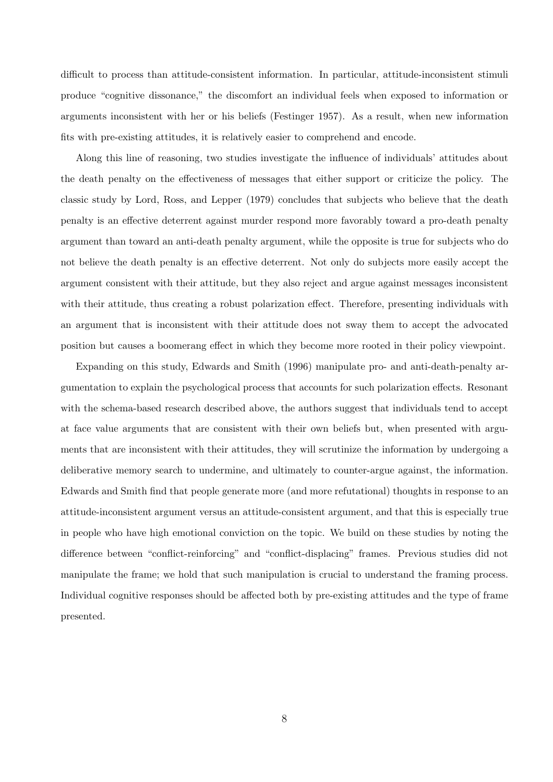difficult to process than attitude-consistent information. In particular, attitude-inconsistent stimuli produce "cognitive dissonance," the discomfort an individual feels when exposed to information or arguments inconsistent with her or his beliefs (Festinger 1957). As a result, when new information fits with pre-existing attitudes, it is relatively easier to comprehend and encode.

Along this line of reasoning, two studies investigate the influence of individuals' attitudes about the death penalty on the effectiveness of messages that either support or criticize the policy. The classic study by Lord, Ross, and Lepper (1979) concludes that subjects who believe that the death penalty is an effective deterrent against murder respond more favorably toward a pro-death penalty argument than toward an anti-death penalty argument, while the opposite is true for subjects who do not believe the death penalty is an effective deterrent. Not only do subjects more easily accept the argument consistent with their attitude, but they also reject and argue against messages inconsistent with their attitude, thus creating a robust polarization effect. Therefore, presenting individuals with an argument that is inconsistent with their attitude does not sway them to accept the advocated position but causes a boomerang effect in which they become more rooted in their policy viewpoint.

Expanding on this study, Edwards and Smith (1996) manipulate pro- and anti-death-penalty argumentation to explain the psychological process that accounts for such polarization effects. Resonant with the schema-based research described above, the authors suggest that individuals tend to accept at face value arguments that are consistent with their own beliefs but, when presented with arguments that are inconsistent with their attitudes, they will scrutinize the information by undergoing a deliberative memory search to undermine, and ultimately to counter-argue against, the information. Edwards and Smith find that people generate more (and more refutational) thoughts in response to an attitude-inconsistent argument versus an attitude-consistent argument, and that this is especially true in people who have high emotional conviction on the topic. We build on these studies by noting the difference between "conflict-reinforcing" and "conflict-displacing" frames. Previous studies did not manipulate the frame; we hold that such manipulation is crucial to understand the framing process. Individual cognitive responses should be affected both by pre-existing attitudes and the type of frame presented.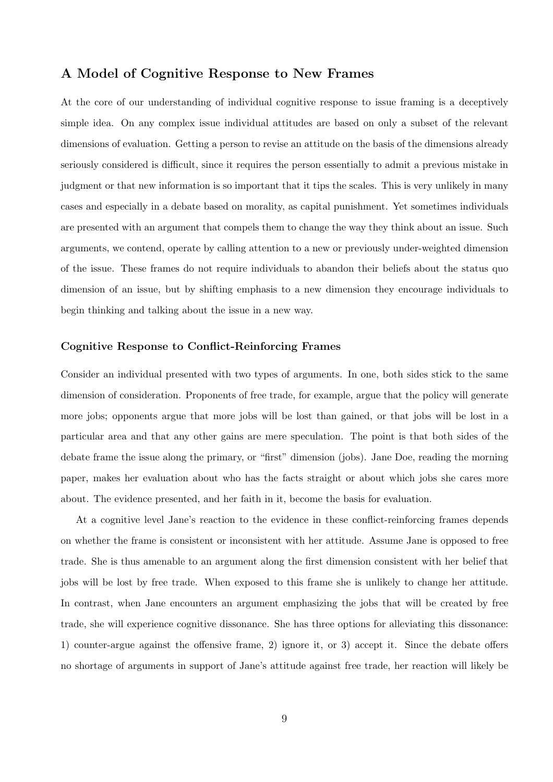## A Model of Cognitive Response to New Frames

At the core of our understanding of individual cognitive response to issue framing is a deceptively simple idea. On any complex issue individual attitudes are based on only a subset of the relevant dimensions of evaluation. Getting a person to revise an attitude on the basis of the dimensions already seriously considered is difficult, since it requires the person essentially to admit a previous mistake in judgment or that new information is so important that it tips the scales. This is very unlikely in many cases and especially in a debate based on morality, as capital punishment. Yet sometimes individuals are presented with an argument that compels them to change the way they think about an issue. Such arguments, we contend, operate by calling attention to a new or previously under-weighted dimension of the issue. These frames do not require individuals to abandon their beliefs about the status quo dimension of an issue, but by shifting emphasis to a new dimension they encourage individuals to begin thinking and talking about the issue in a new way.

### Cognitive Response to Conflict-Reinforcing Frames

Consider an individual presented with two types of arguments. In one, both sides stick to the same dimension of consideration. Proponents of free trade, for example, argue that the policy will generate more jobs; opponents argue that more jobs will be lost than gained, or that jobs will be lost in a particular area and that any other gains are mere speculation. The point is that both sides of the debate frame the issue along the primary, or "first" dimension (jobs). Jane Doe, reading the morning paper, makes her evaluation about who has the facts straight or about which jobs she cares more about. The evidence presented, and her faith in it, become the basis for evaluation.

At a cognitive level Jane's reaction to the evidence in these conflict-reinforcing frames depends on whether the frame is consistent or inconsistent with her attitude. Assume Jane is opposed to free trade. She is thus amenable to an argument along the first dimension consistent with her belief that jobs will be lost by free trade. When exposed to this frame she is unlikely to change her attitude. In contrast, when Jane encounters an argument emphasizing the jobs that will be created by free trade, she will experience cognitive dissonance. She has three options for alleviating this dissonance: 1) counter-argue against the offensive frame, 2) ignore it, or 3) accept it. Since the debate offers no shortage of arguments in support of Jane's attitude against free trade, her reaction will likely be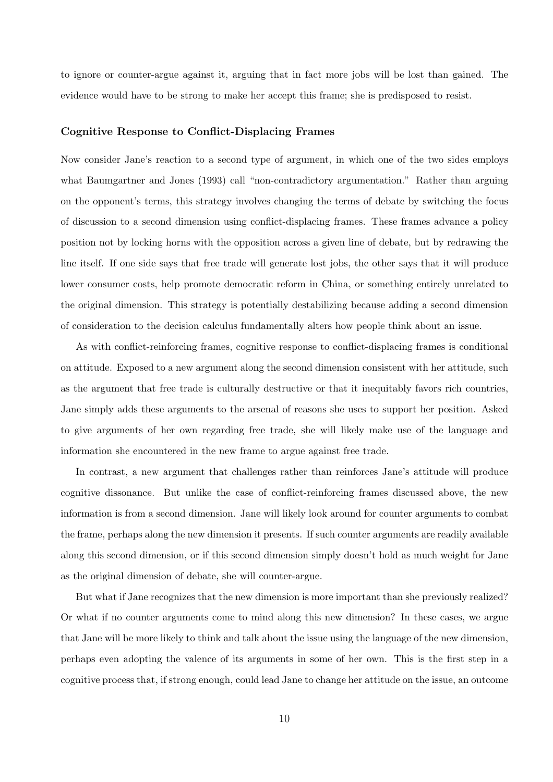to ignore or counter-argue against it, arguing that in fact more jobs will be lost than gained. The evidence would have to be strong to make her accept this frame; she is predisposed to resist.

#### Cognitive Response to Conflict-Displacing Frames

Now consider Jane's reaction to a second type of argument, in which one of the two sides employs what Baumgartner and Jones (1993) call "non-contradictory argumentation." Rather than arguing on the opponent's terms, this strategy involves changing the terms of debate by switching the focus of discussion to a second dimension using conflict-displacing frames. These frames advance a policy position not by locking horns with the opposition across a given line of debate, but by redrawing the line itself. If one side says that free trade will generate lost jobs, the other says that it will produce lower consumer costs, help promote democratic reform in China, or something entirely unrelated to the original dimension. This strategy is potentially destabilizing because adding a second dimension of consideration to the decision calculus fundamentally alters how people think about an issue.

As with conflict-reinforcing frames, cognitive response to conflict-displacing frames is conditional on attitude. Exposed to a new argument along the second dimension consistent with her attitude, such as the argument that free trade is culturally destructive or that it inequitably favors rich countries, Jane simply adds these arguments to the arsenal of reasons she uses to support her position. Asked to give arguments of her own regarding free trade, she will likely make use of the language and information she encountered in the new frame to argue against free trade.

In contrast, a new argument that challenges rather than reinforces Jane's attitude will produce cognitive dissonance. But unlike the case of conflict-reinforcing frames discussed above, the new information is from a second dimension. Jane will likely look around for counter arguments to combat the frame, perhaps along the new dimension it presents. If such counter arguments are readily available along this second dimension, or if this second dimension simply doesn't hold as much weight for Jane as the original dimension of debate, she will counter-argue.

But what if Jane recognizes that the new dimension is more important than she previously realized? Or what if no counter arguments come to mind along this new dimension? In these cases, we argue that Jane will be more likely to think and talk about the issue using the language of the new dimension, perhaps even adopting the valence of its arguments in some of her own. This is the first step in a cognitive process that, if strong enough, could lead Jane to change her attitude on the issue, an outcome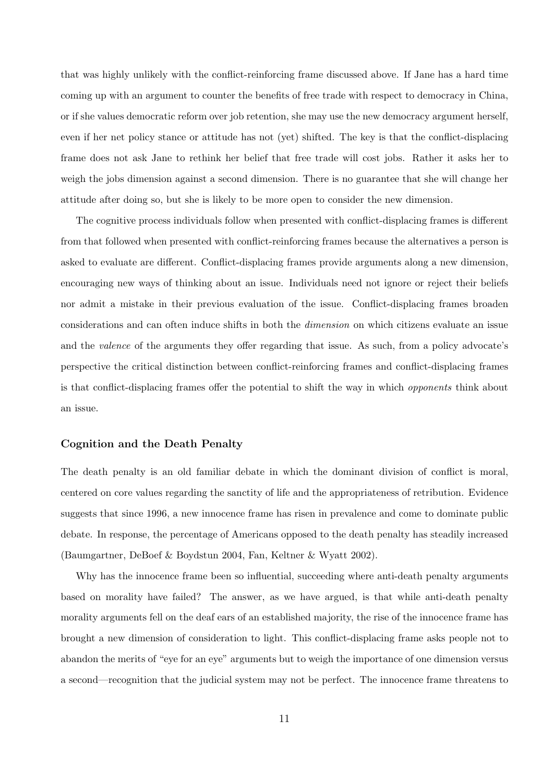that was highly unlikely with the conflict-reinforcing frame discussed above. If Jane has a hard time coming up with an argument to counter the benefits of free trade with respect to democracy in China, or if she values democratic reform over job retention, she may use the new democracy argument herself, even if her net policy stance or attitude has not (yet) shifted. The key is that the conflict-displacing frame does not ask Jane to rethink her belief that free trade will cost jobs. Rather it asks her to weigh the jobs dimension against a second dimension. There is no guarantee that she will change her attitude after doing so, but she is likely to be more open to consider the new dimension.

The cognitive process individuals follow when presented with conflict-displacing frames is different from that followed when presented with conflict-reinforcing frames because the alternatives a person is asked to evaluate are different. Conflict-displacing frames provide arguments along a new dimension, encouraging new ways of thinking about an issue. Individuals need not ignore or reject their beliefs nor admit a mistake in their previous evaluation of the issue. Conflict-displacing frames broaden considerations and can often induce shifts in both the dimension on which citizens evaluate an issue and the *valence* of the arguments they offer regarding that issue. As such, from a policy advocate's perspective the critical distinction between conflict-reinforcing frames and conflict-displacing frames is that conflict-displacing frames offer the potential to shift the way in which opponents think about an issue.

### Cognition and the Death Penalty

The death penalty is an old familiar debate in which the dominant division of conflict is moral, centered on core values regarding the sanctity of life and the appropriateness of retribution. Evidence suggests that since 1996, a new innocence frame has risen in prevalence and come to dominate public debate. In response, the percentage of Americans opposed to the death penalty has steadily increased (Baumgartner, DeBoef & Boydstun 2004, Fan, Keltner & Wyatt 2002).

Why has the innocence frame been so influential, succeeding where anti-death penalty arguments based on morality have failed? The answer, as we have argued, is that while anti-death penalty morality arguments fell on the deaf ears of an established majority, the rise of the innocence frame has brought a new dimension of consideration to light. This conflict-displacing frame asks people not to abandon the merits of "eye for an eye" arguments but to weigh the importance of one dimension versus a second—recognition that the judicial system may not be perfect. The innocence frame threatens to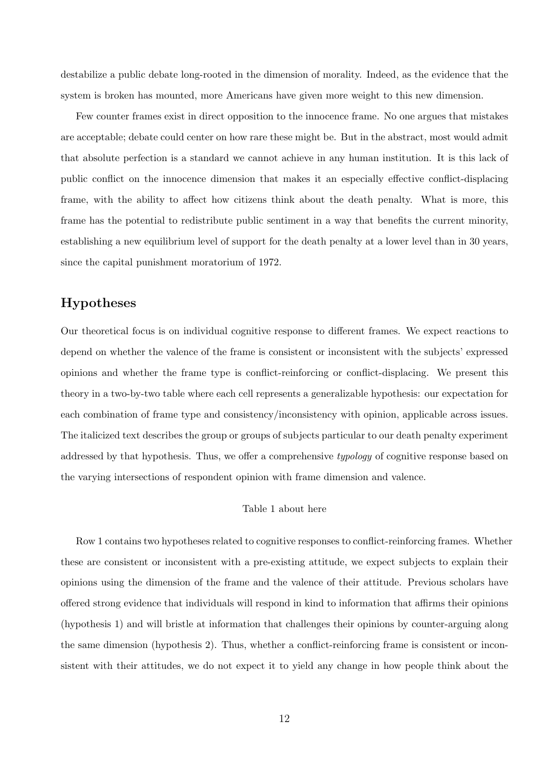destabilize a public debate long-rooted in the dimension of morality. Indeed, as the evidence that the system is broken has mounted, more Americans have given more weight to this new dimension.

Few counter frames exist in direct opposition to the innocence frame. No one argues that mistakes are acceptable; debate could center on how rare these might be. But in the abstract, most would admit that absolute perfection is a standard we cannot achieve in any human institution. It is this lack of public conflict on the innocence dimension that makes it an especially effective conflict-displacing frame, with the ability to affect how citizens think about the death penalty. What is more, this frame has the potential to redistribute public sentiment in a way that benefits the current minority, establishing a new equilibrium level of support for the death penalty at a lower level than in 30 years, since the capital punishment moratorium of 1972.

## Hypotheses

Our theoretical focus is on individual cognitive response to different frames. We expect reactions to depend on whether the valence of the frame is consistent or inconsistent with the subjects' expressed opinions and whether the frame type is conflict-reinforcing or conflict-displacing. We present this theory in a two-by-two table where each cell represents a generalizable hypothesis: our expectation for each combination of frame type and consistency/inconsistency with opinion, applicable across issues. The italicized text describes the group or groups of subjects particular to our death penalty experiment addressed by that hypothesis. Thus, we offer a comprehensive typology of cognitive response based on the varying intersections of respondent opinion with frame dimension and valence.

### Table 1 about here

Row 1 contains two hypotheses related to cognitive responses to conflict-reinforcing frames. Whether these are consistent or inconsistent with a pre-existing attitude, we expect subjects to explain their opinions using the dimension of the frame and the valence of their attitude. Previous scholars have offered strong evidence that individuals will respond in kind to information that affirms their opinions (hypothesis 1) and will bristle at information that challenges their opinions by counter-arguing along the same dimension (hypothesis 2). Thus, whether a conflict-reinforcing frame is consistent or inconsistent with their attitudes, we do not expect it to yield any change in how people think about the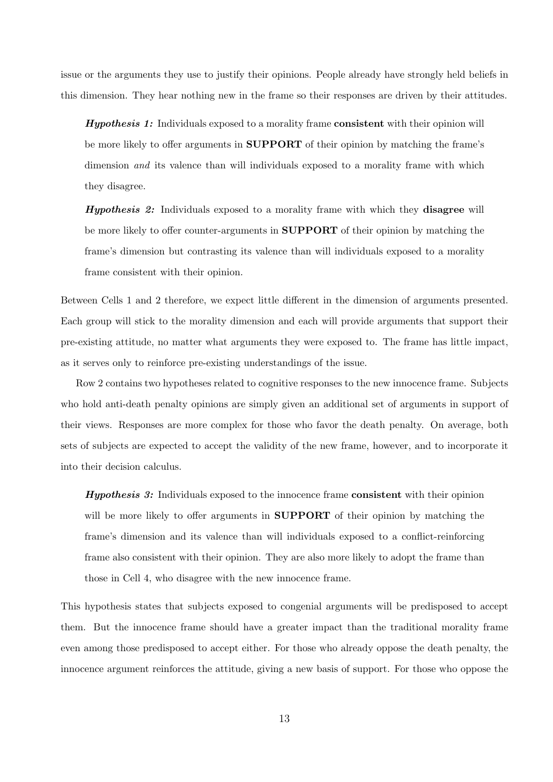issue or the arguments they use to justify their opinions. People already have strongly held beliefs in this dimension. They hear nothing new in the frame so their responses are driven by their attitudes.

**Hypothesis 1:** Individuals exposed to a morality frame **consistent** with their opinion will be more likely to offer arguments in SUPPORT of their opinion by matching the frame's dimension and its valence than will individuals exposed to a morality frame with which they disagree.

Hypothesis 2: Individuals exposed to a morality frame with which they disagree will be more likely to offer counter-arguments in SUPPORT of their opinion by matching the frame's dimension but contrasting its valence than will individuals exposed to a morality frame consistent with their opinion.

Between Cells 1 and 2 therefore, we expect little different in the dimension of arguments presented. Each group will stick to the morality dimension and each will provide arguments that support their pre-existing attitude, no matter what arguments they were exposed to. The frame has little impact, as it serves only to reinforce pre-existing understandings of the issue.

Row 2 contains two hypotheses related to cognitive responses to the new innocence frame. Subjects who hold anti-death penalty opinions are simply given an additional set of arguments in support of their views. Responses are more complex for those who favor the death penalty. On average, both sets of subjects are expected to accept the validity of the new frame, however, and to incorporate it into their decision calculus.

**Hypothesis 3:** Individuals exposed to the innocence frame **consistent** with their opinion will be more likely to offer arguments in **SUPPORT** of their opinion by matching the frame's dimension and its valence than will individuals exposed to a conflict-reinforcing frame also consistent with their opinion. They are also more likely to adopt the frame than those in Cell 4, who disagree with the new innocence frame.

This hypothesis states that subjects exposed to congenial arguments will be predisposed to accept them. But the innocence frame should have a greater impact than the traditional morality frame even among those predisposed to accept either. For those who already oppose the death penalty, the innocence argument reinforces the attitude, giving a new basis of support. For those who oppose the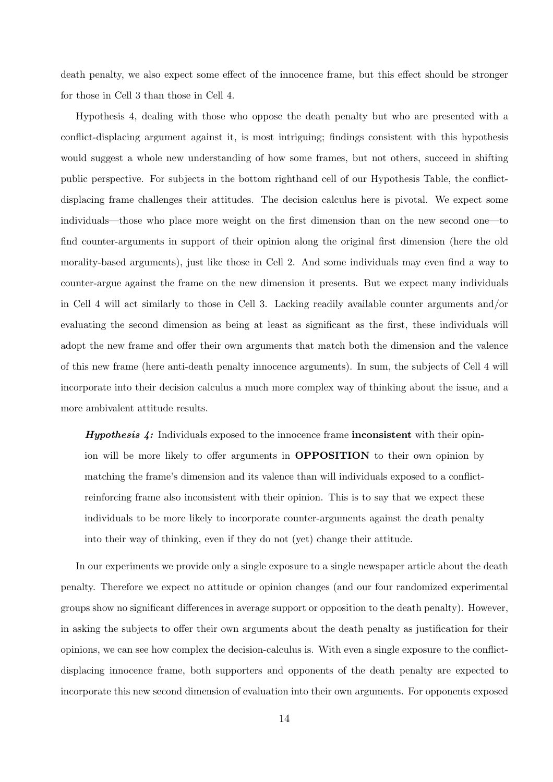death penalty, we also expect some effect of the innocence frame, but this effect should be stronger for those in Cell 3 than those in Cell 4.

Hypothesis 4, dealing with those who oppose the death penalty but who are presented with a conflict-displacing argument against it, is most intriguing; findings consistent with this hypothesis would suggest a whole new understanding of how some frames, but not others, succeed in shifting public perspective. For subjects in the bottom righthand cell of our Hypothesis Table, the conflictdisplacing frame challenges their attitudes. The decision calculus here is pivotal. We expect some individuals—those who place more weight on the first dimension than on the new second one—to find counter-arguments in support of their opinion along the original first dimension (here the old morality-based arguments), just like those in Cell 2. And some individuals may even find a way to counter-argue against the frame on the new dimension it presents. But we expect many individuals in Cell 4 will act similarly to those in Cell 3. Lacking readily available counter arguments and/or evaluating the second dimension as being at least as significant as the first, these individuals will adopt the new frame and offer their own arguments that match both the dimension and the valence of this new frame (here anti-death penalty innocence arguments). In sum, the subjects of Cell 4 will incorporate into their decision calculus a much more complex way of thinking about the issue, and a more ambivalent attitude results.

Hypothesis 4: Individuals exposed to the innocence frame inconsistent with their opinion will be more likely to offer arguments in OPPOSITION to their own opinion by matching the frame's dimension and its valence than will individuals exposed to a conflictreinforcing frame also inconsistent with their opinion. This is to say that we expect these individuals to be more likely to incorporate counter-arguments against the death penalty into their way of thinking, even if they do not (yet) change their attitude.

In our experiments we provide only a single exposure to a single newspaper article about the death penalty. Therefore we expect no attitude or opinion changes (and our four randomized experimental groups show no significant differences in average support or opposition to the death penalty). However, in asking the subjects to offer their own arguments about the death penalty as justification for their opinions, we can see how complex the decision-calculus is. With even a single exposure to the conflictdisplacing innocence frame, both supporters and opponents of the death penalty are expected to incorporate this new second dimension of evaluation into their own arguments. For opponents exposed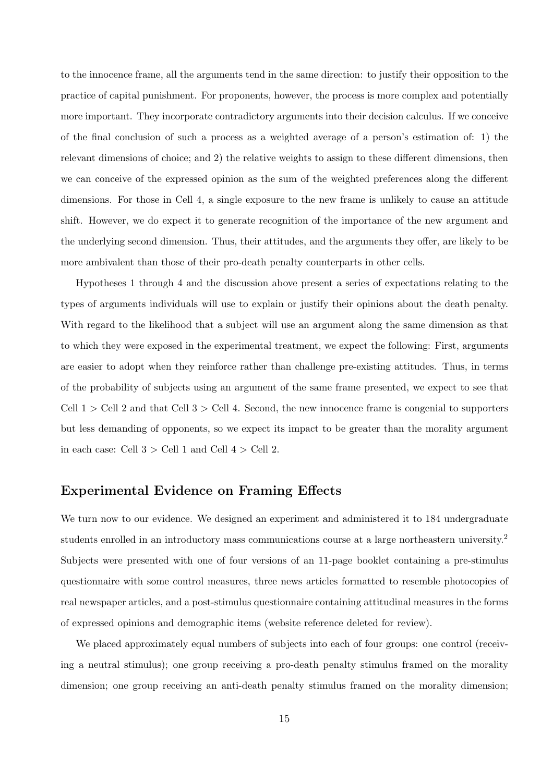to the innocence frame, all the arguments tend in the same direction: to justify their opposition to the practice of capital punishment. For proponents, however, the process is more complex and potentially more important. They incorporate contradictory arguments into their decision calculus. If we conceive of the final conclusion of such a process as a weighted average of a person's estimation of: 1) the relevant dimensions of choice; and 2) the relative weights to assign to these different dimensions, then we can conceive of the expressed opinion as the sum of the weighted preferences along the different dimensions. For those in Cell 4, a single exposure to the new frame is unlikely to cause an attitude shift. However, we do expect it to generate recognition of the importance of the new argument and the underlying second dimension. Thus, their attitudes, and the arguments they offer, are likely to be more ambivalent than those of their pro-death penalty counterparts in other cells.

Hypotheses 1 through 4 and the discussion above present a series of expectations relating to the types of arguments individuals will use to explain or justify their opinions about the death penalty. With regard to the likelihood that a subject will use an argument along the same dimension as that to which they were exposed in the experimental treatment, we expect the following: First, arguments are easier to adopt when they reinforce rather than challenge pre-existing attitudes. Thus, in terms of the probability of subjects using an argument of the same frame presented, we expect to see that Cell  $1 >$  Cell 2 and that Cell  $3 >$  Cell 4. Second, the new innocence frame is congenial to supporters but less demanding of opponents, so we expect its impact to be greater than the morality argument in each case: Cell  $3 >$  Cell 1 and Cell  $4 >$  Cell 2.

### Experimental Evidence on Framing Effects

We turn now to our evidence. We designed an experiment and administered it to 184 undergraduate students enrolled in an introductory mass communications course at a large northeastern university.<sup>2</sup> Subjects were presented with one of four versions of an 11-page booklet containing a pre-stimulus questionnaire with some control measures, three news articles formatted to resemble photocopies of real newspaper articles, and a post-stimulus questionnaire containing attitudinal measures in the forms of expressed opinions and demographic items (website reference deleted for review).

We placed approximately equal numbers of subjects into each of four groups: one control (receiving a neutral stimulus); one group receiving a pro-death penalty stimulus framed on the morality dimension; one group receiving an anti-death penalty stimulus framed on the morality dimension;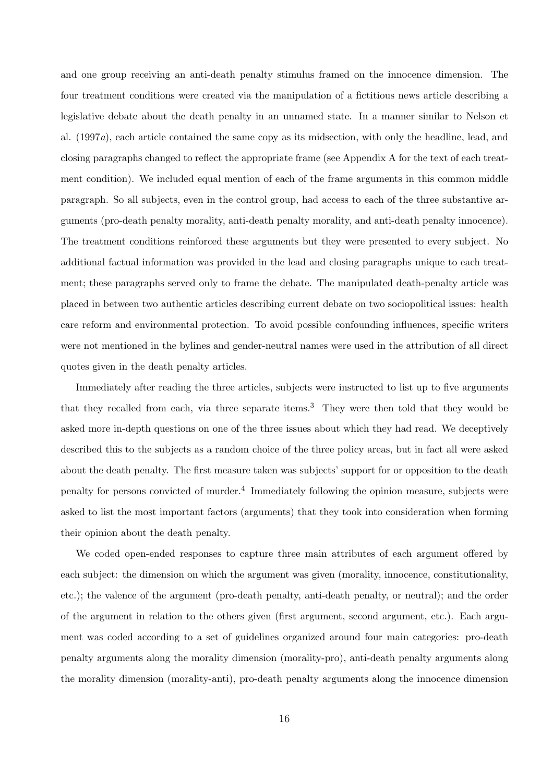and one group receiving an anti-death penalty stimulus framed on the innocence dimension. The four treatment conditions were created via the manipulation of a fictitious news article describing a legislative debate about the death penalty in an unnamed state. In a manner similar to Nelson et al. (1997a), each article contained the same copy as its midsection, with only the headline, lead, and closing paragraphs changed to reflect the appropriate frame (see Appendix A for the text of each treatment condition). We included equal mention of each of the frame arguments in this common middle paragraph. So all subjects, even in the control group, had access to each of the three substantive arguments (pro-death penalty morality, anti-death penalty morality, and anti-death penalty innocence). The treatment conditions reinforced these arguments but they were presented to every subject. No additional factual information was provided in the lead and closing paragraphs unique to each treatment; these paragraphs served only to frame the debate. The manipulated death-penalty article was placed in between two authentic articles describing current debate on two sociopolitical issues: health care reform and environmental protection. To avoid possible confounding influences, specific writers were not mentioned in the bylines and gender-neutral names were used in the attribution of all direct quotes given in the death penalty articles.

Immediately after reading the three articles, subjects were instructed to list up to five arguments that they recalled from each, via three separate items.<sup>3</sup> They were then told that they would be asked more in-depth questions on one of the three issues about which they had read. We deceptively described this to the subjects as a random choice of the three policy areas, but in fact all were asked about the death penalty. The first measure taken was subjects' support for or opposition to the death penalty for persons convicted of murder.<sup>4</sup> Immediately following the opinion measure, subjects were asked to list the most important factors (arguments) that they took into consideration when forming their opinion about the death penalty.

We coded open-ended responses to capture three main attributes of each argument offered by each subject: the dimension on which the argument was given (morality, innocence, constitutionality, etc.); the valence of the argument (pro-death penalty, anti-death penalty, or neutral); and the order of the argument in relation to the others given (first argument, second argument, etc.). Each argument was coded according to a set of guidelines organized around four main categories: pro-death penalty arguments along the morality dimension (morality-pro), anti-death penalty arguments along the morality dimension (morality-anti), pro-death penalty arguments along the innocence dimension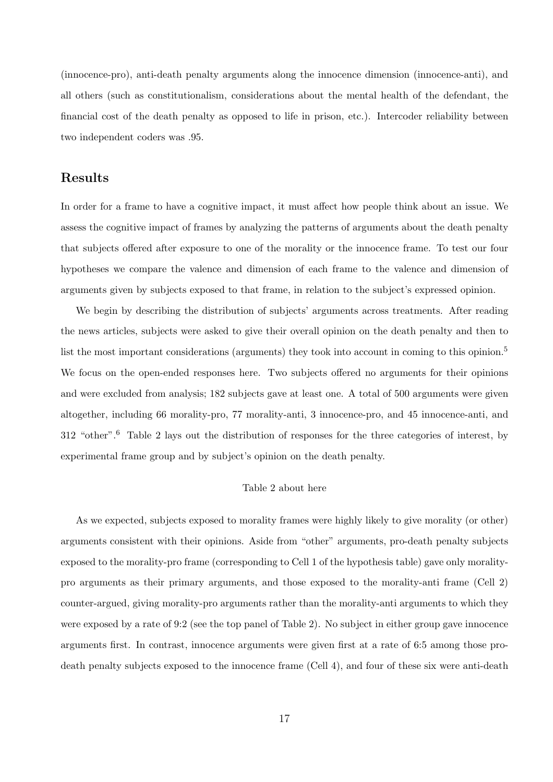(innocence-pro), anti-death penalty arguments along the innocence dimension (innocence-anti), and all others (such as constitutionalism, considerations about the mental health of the defendant, the financial cost of the death penalty as opposed to life in prison, etc.). Intercoder reliability between two independent coders was .95.

## Results

In order for a frame to have a cognitive impact, it must affect how people think about an issue. We assess the cognitive impact of frames by analyzing the patterns of arguments about the death penalty that subjects offered after exposure to one of the morality or the innocence frame. To test our four hypotheses we compare the valence and dimension of each frame to the valence and dimension of arguments given by subjects exposed to that frame, in relation to the subject's expressed opinion.

We begin by describing the distribution of subjects' arguments across treatments. After reading the news articles, subjects were asked to give their overall opinion on the death penalty and then to list the most important considerations (arguments) they took into account in coming to this opinion.<sup>5</sup> We focus on the open-ended responses here. Two subjects offered no arguments for their opinions and were excluded from analysis; 182 subjects gave at least one. A total of 500 arguments were given altogether, including 66 morality-pro, 77 morality-anti, 3 innocence-pro, and 45 innocence-anti, and 312 "other".<sup>6</sup> Table 2 lays out the distribution of responses for the three categories of interest, by experimental frame group and by subject's opinion on the death penalty.

### Table 2 about here

As we expected, subjects exposed to morality frames were highly likely to give morality (or other) arguments consistent with their opinions. Aside from "other" arguments, pro-death penalty subjects exposed to the morality-pro frame (corresponding to Cell 1 of the hypothesis table) gave only moralitypro arguments as their primary arguments, and those exposed to the morality-anti frame (Cell 2) counter-argued, giving morality-pro arguments rather than the morality-anti arguments to which they were exposed by a rate of 9:2 (see the top panel of Table 2). No subject in either group gave innocence arguments first. In contrast, innocence arguments were given first at a rate of 6:5 among those prodeath penalty subjects exposed to the innocence frame (Cell 4), and four of these six were anti-death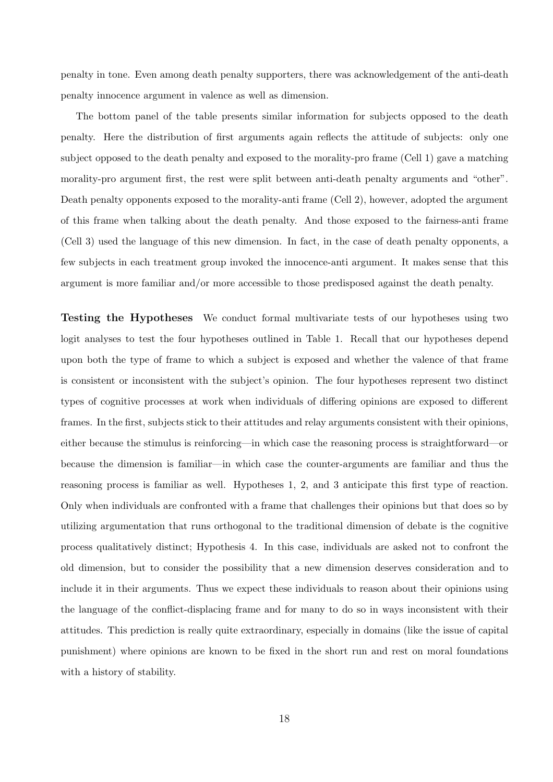penalty in tone. Even among death penalty supporters, there was acknowledgement of the anti-death penalty innocence argument in valence as well as dimension.

The bottom panel of the table presents similar information for subjects opposed to the death penalty. Here the distribution of first arguments again reflects the attitude of subjects: only one subject opposed to the death penalty and exposed to the morality-pro frame (Cell 1) gave a matching morality-pro argument first, the rest were split between anti-death penalty arguments and "other". Death penalty opponents exposed to the morality-anti frame (Cell 2), however, adopted the argument of this frame when talking about the death penalty. And those exposed to the fairness-anti frame (Cell 3) used the language of this new dimension. In fact, in the case of death penalty opponents, a few subjects in each treatment group invoked the innocence-anti argument. It makes sense that this argument is more familiar and/or more accessible to those predisposed against the death penalty.

Testing the Hypotheses We conduct formal multivariate tests of our hypotheses using two logit analyses to test the four hypotheses outlined in Table 1. Recall that our hypotheses depend upon both the type of frame to which a subject is exposed and whether the valence of that frame is consistent or inconsistent with the subject's opinion. The four hypotheses represent two distinct types of cognitive processes at work when individuals of differing opinions are exposed to different frames. In the first, subjects stick to their attitudes and relay arguments consistent with their opinions, either because the stimulus is reinforcing—in which case the reasoning process is straightforward—or because the dimension is familiar—in which case the counter-arguments are familiar and thus the reasoning process is familiar as well. Hypotheses 1, 2, and 3 anticipate this first type of reaction. Only when individuals are confronted with a frame that challenges their opinions but that does so by utilizing argumentation that runs orthogonal to the traditional dimension of debate is the cognitive process qualitatively distinct; Hypothesis 4. In this case, individuals are asked not to confront the old dimension, but to consider the possibility that a new dimension deserves consideration and to include it in their arguments. Thus we expect these individuals to reason about their opinions using the language of the conflict-displacing frame and for many to do so in ways inconsistent with their attitudes. This prediction is really quite extraordinary, especially in domains (like the issue of capital punishment) where opinions are known to be fixed in the short run and rest on moral foundations with a history of stability.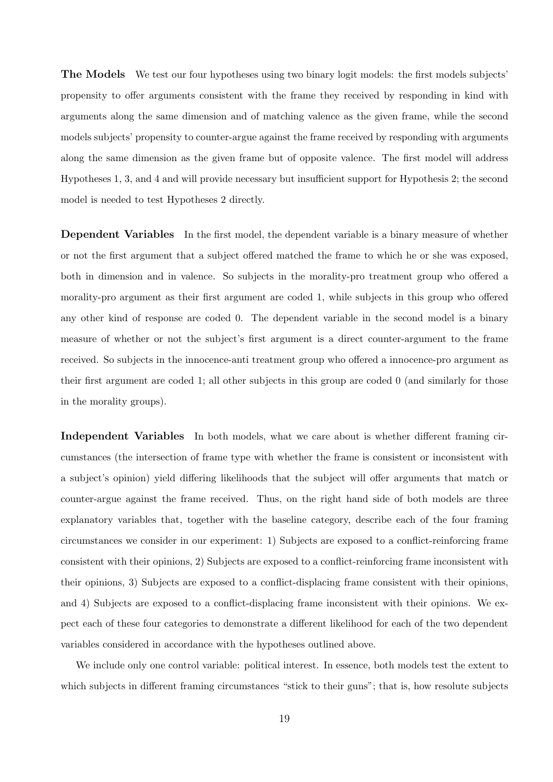The Models We test our four hypotheses using two binary logit models: the first models subjects' propensity to offer arguments consistent with the frame they received by responding in kind with arguments along the same dimension and of matching valence as the given frame, while the second models subjects' propensity to counter-argue against the frame received by responding with arguments along the same dimension as the given frame but of opposite valence. The first model will address Hypotheses 1, 3, and 4 and will provide necessary but insufficient support for Hypothesis 2; the second model is needed to test Hypotheses 2 directly.

Dependent Variables In the first model, the dependent variable is a binary measure of whether or not the first argument that a subject offered matched the frame to which he or she was exposed, both in dimension and in valence. So subjects in the morality-pro treatment group who offered a morality-pro argument as their first argument are coded 1, while subjects in this group who offered any other kind of response are coded 0. The dependent variable in the second model is a binary measure of whether or not the subject's first argument is a direct counter-argument to the frame received. So subjects in the innocence-anti treatment group who offered a innocence-pro argument as their first argument are coded 1; all other subjects in this group are coded 0 (and similarly for those in the morality groups).

Independent Variables In both models, what we care about is whether different framing circumstances (the intersection of frame type with whether the frame is consistent or inconsistent with a subject's opinion) yield differing likelihoods that the subject will offer arguments that match or counter-argue against the frame received. Thus, on the right hand side of both models are three explanatory variables that, together with the baseline category, describe each of the four framing circumstances we consider in our experiment: 1) Subjects are exposed to a conflict-reinforcing frame consistent with their opinions, 2) Subjects are exposed to a conflict-reinforcing frame inconsistent with their opinions, 3) Subjects are exposed to a conflict-displacing frame consistent with their opinions, and 4) Subjects are exposed to a conflict-displacing frame inconsistent with their opinions. We expect each of these four categories to demonstrate a different likelihood for each of the two dependent variables considered in accordance with the hypotheses outlined above.

We include only one control variable: political interest. In essence, both models test the extent to which subjects in different framing circumstances "stick to their guns"; that is, how resolute subjects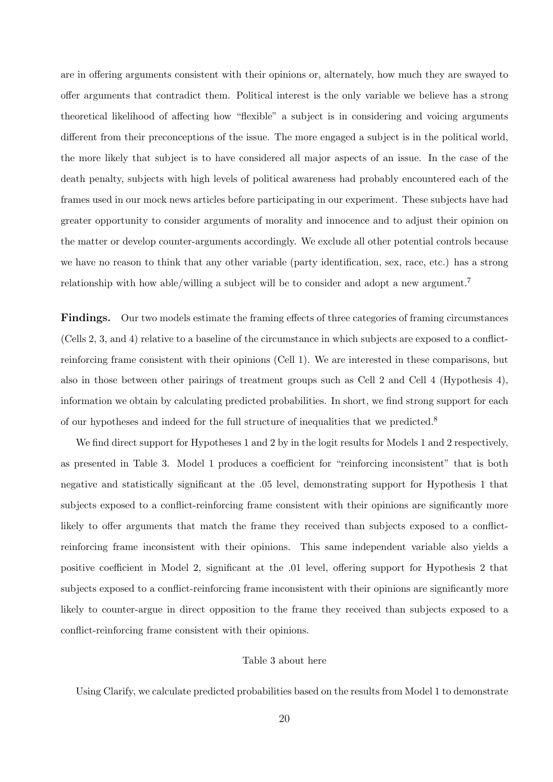are in offering arguments consistent with their opinions or, alternately, how much they are swayed to offer arguments that contradict them. Political interest is the only variable we believe has a strong theoretical likelihood of affecting how "flexible" a subject is in considering and voicing arguments different from their preconceptions of the issue. The more engaged a subject is in the political world, the more likely that subject is to have considered all major aspects of an issue. In the case of the death penalty, subjects with high levels of political awareness had probably encountered each of the frames used in our mock news articles before participating in our experiment. These subjects have had greater opportunity to consider arguments of morality and innocence and to adjust their opinion on the matter or develop counter-arguments accordingly. We exclude all other potential controls because we have no reason to think that any other variable (party identification, sex, race, etc.) has a strong relationship with how able/willing a subject will be to consider and adopt a new argument.<sup>7</sup>

Findings. Our two models estimate the framing effects of three categories of framing circumstances (Cells 2, 3, and 4) relative to a baseline of the circumstance in which subjects are exposed to a conflictreinforcing frame consistent with their opinions (Cell 1). We are interested in these comparisons, but also in those between other pairings of treatment groups such as Cell 2 and Cell 4 (Hypothesis 4), information we obtain by calculating predicted probabilities. In short, we find strong support for each of our hypotheses and indeed for the full structure of inequalities that we predicted.<sup>8</sup>

We find direct support for Hypotheses 1 and 2 by in the logit results for Models 1 and 2 respectively, as presented in Table 3. Model 1 produces a coefficient for "reinforcing inconsistent" that is both negative and statistically significant at the .05 level, demonstrating support for Hypothesis 1 that subjects exposed to a conflict-reinforcing frame consistent with their opinions are significantly more likely to offer arguments that match the frame they received than subjects exposed to a conflictreinforcing frame inconsistent with their opinions. This same independent variable also yields a positive coefficient in Model 2, significant at the .01 level, offering support for Hypothesis 2 that subjects exposed to a conflict-reinforcing frame inconsistent with their opinions are significantly more likely to counter-argue in direct opposition to the frame they received than subjects exposed to a conflict-reinforcing frame consistent with their opinions.

### Table 3 about here

Using Clarify, we calculate predicted probabilities based on the results from Model 1 to demonstrate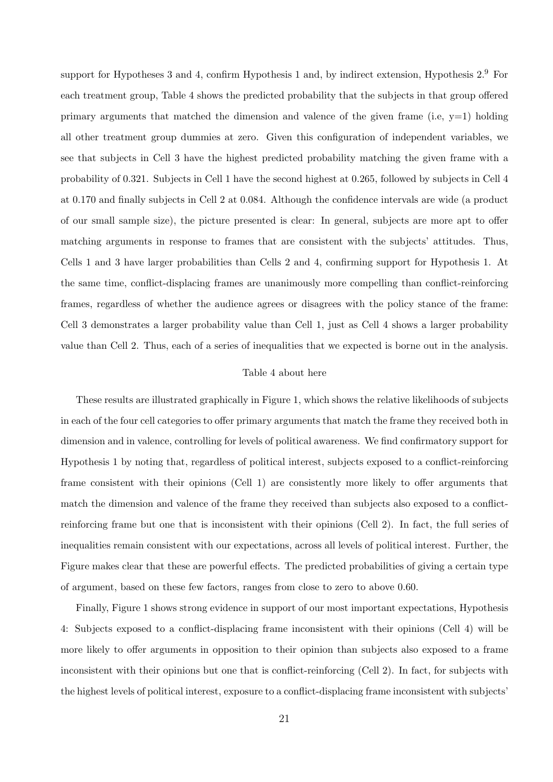support for Hypotheses 3 and 4, confirm Hypothesis 1 and, by indirect extension, Hypothesis  $2.9$  For each treatment group, Table 4 shows the predicted probability that the subjects in that group offered primary arguments that matched the dimension and valence of the given frame (i.e,  $y=1$ ) holding all other treatment group dummies at zero. Given this configuration of independent variables, we see that subjects in Cell 3 have the highest predicted probability matching the given frame with a probability of 0.321. Subjects in Cell 1 have the second highest at 0.265, followed by subjects in Cell 4 at 0.170 and finally subjects in Cell 2 at 0.084. Although the confidence intervals are wide (a product of our small sample size), the picture presented is clear: In general, subjects are more apt to offer matching arguments in response to frames that are consistent with the subjects' attitudes. Thus, Cells 1 and 3 have larger probabilities than Cells 2 and 4, confirming support for Hypothesis 1. At the same time, conflict-displacing frames are unanimously more compelling than conflict-reinforcing frames, regardless of whether the audience agrees or disagrees with the policy stance of the frame: Cell 3 demonstrates a larger probability value than Cell 1, just as Cell 4 shows a larger probability value than Cell 2. Thus, each of a series of inequalities that we expected is borne out in the analysis.

### Table 4 about here

These results are illustrated graphically in Figure 1, which shows the relative likelihoods of subjects in each of the four cell categories to offer primary arguments that match the frame they received both in dimension and in valence, controlling for levels of political awareness. We find confirmatory support for Hypothesis 1 by noting that, regardless of political interest, subjects exposed to a conflict-reinforcing frame consistent with their opinions (Cell 1) are consistently more likely to offer arguments that match the dimension and valence of the frame they received than subjects also exposed to a conflictreinforcing frame but one that is inconsistent with their opinions (Cell 2). In fact, the full series of inequalities remain consistent with our expectations, across all levels of political interest. Further, the Figure makes clear that these are powerful effects. The predicted probabilities of giving a certain type of argument, based on these few factors, ranges from close to zero to above 0.60.

Finally, Figure 1 shows strong evidence in support of our most important expectations, Hypothesis 4: Subjects exposed to a conflict-displacing frame inconsistent with their opinions (Cell 4) will be more likely to offer arguments in opposition to their opinion than subjects also exposed to a frame inconsistent with their opinions but one that is conflict-reinforcing (Cell 2). In fact, for subjects with the highest levels of political interest, exposure to a conflict-displacing frame inconsistent with subjects'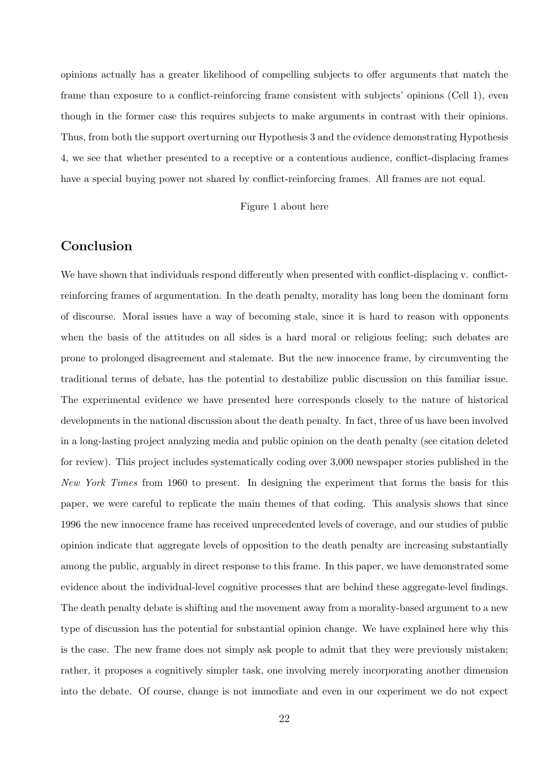opinions actually has a greater likelihood of compelling subjects to offer arguments that match the frame than exposure to a conflict-reinforcing frame consistent with subjects' opinions (Cell 1), even though in the former case this requires subjects to make arguments in contrast with their opinions. Thus, from both the support overturning our Hypothesis 3 and the evidence demonstrating Hypothesis 4, we see that whether presented to a receptive or a contentious audience, conflict-displacing frames have a special buying power not shared by conflict-reinforcing frames. All frames are not equal.

Figure 1 about here

## Conclusion

We have shown that individuals respond differently when presented with conflict-displacing v. conflictreinforcing frames of argumentation. In the death penalty, morality has long been the dominant form of discourse. Moral issues have a way of becoming stale, since it is hard to reason with opponents when the basis of the attitudes on all sides is a hard moral or religious feeling; such debates are prone to prolonged disagreement and stalemate. But the new innocence frame, by circumventing the traditional terms of debate, has the potential to destabilize public discussion on this familiar issue. The experimental evidence we have presented here corresponds closely to the nature of historical developments in the national discussion about the death penalty. In fact, three of us have been involved in a long-lasting project analyzing media and public opinion on the death penalty (see citation deleted for review). This project includes systematically coding over 3,000 newspaper stories published in the New York Times from 1960 to present. In designing the experiment that forms the basis for this paper, we were careful to replicate the main themes of that coding. This analysis shows that since 1996 the new innocence frame has received unprecedented levels of coverage, and our studies of public opinion indicate that aggregate levels of opposition to the death penalty are increasing substantially among the public, arguably in direct response to this frame. In this paper, we have demonstrated some evidence about the individual-level cognitive processes that are behind these aggregate-level findings. The death penalty debate is shifting and the movement away from a morality-based argument to a new type of discussion has the potential for substantial opinion change. We have explained here why this is the case. The new frame does not simply ask people to admit that they were previously mistaken; rather, it proposes a cognitively simpler task, one involving merely incorporating another dimension into the debate. Of course, change is not immediate and even in our experiment we do not expect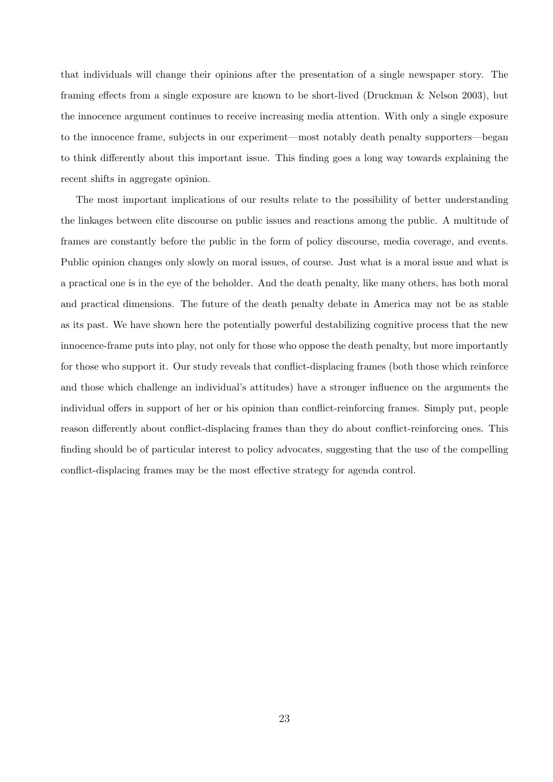that individuals will change their opinions after the presentation of a single newspaper story. The framing effects from a single exposure are known to be short-lived (Druckman & Nelson 2003), but the innocence argument continues to receive increasing media attention. With only a single exposure to the innocence frame, subjects in our experiment—most notably death penalty supporters—began to think differently about this important issue. This finding goes a long way towards explaining the recent shifts in aggregate opinion.

The most important implications of our results relate to the possibility of better understanding the linkages between elite discourse on public issues and reactions among the public. A multitude of frames are constantly before the public in the form of policy discourse, media coverage, and events. Public opinion changes only slowly on moral issues, of course. Just what is a moral issue and what is a practical one is in the eye of the beholder. And the death penalty, like many others, has both moral and practical dimensions. The future of the death penalty debate in America may not be as stable as its past. We have shown here the potentially powerful destabilizing cognitive process that the new innocence-frame puts into play, not only for those who oppose the death penalty, but more importantly for those who support it. Our study reveals that conflict-displacing frames (both those which reinforce and those which challenge an individual's attitudes) have a stronger influence on the arguments the individual offers in support of her or his opinion than conflict-reinforcing frames. Simply put, people reason differently about conflict-displacing frames than they do about conflict-reinforcing ones. This finding should be of particular interest to policy advocates, suggesting that the use of the compelling conflict-displacing frames may be the most effective strategy for agenda control.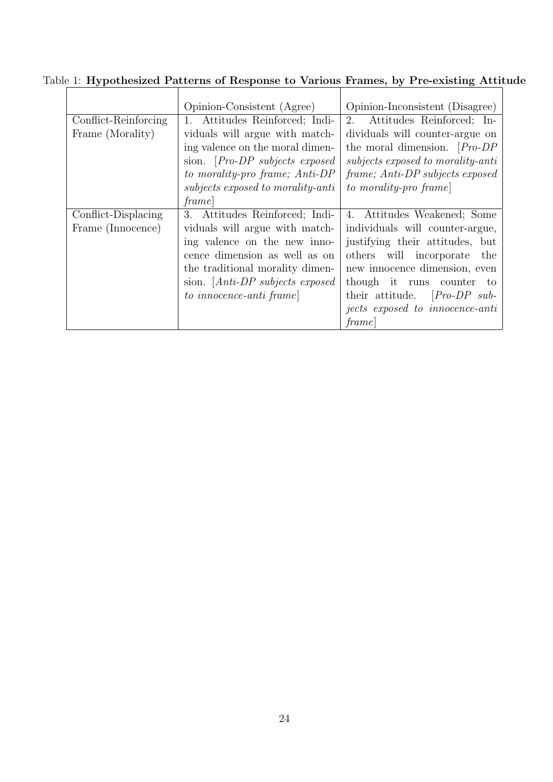|                      | Opinion-Consistent (Agree)             | Opinion-Inconsistent (Disagree)      |
|----------------------|----------------------------------------|--------------------------------------|
| Conflict-Reinforcing | 1. Attitudes Reinforced; Indi-         | Attitudes Reinforced; In-<br>2.      |
| Frame (Morality)     | viduals will argue with match-         | dividuals will counter-argue on      |
|                      | ing valence on the moral dimen-        | the moral dimension. $[Pro-DP]$      |
|                      | sion. [ <i>Pro-DP subjects exposed</i> | subjects exposed to morality-anti    |
|                      | to morality-pro frame; Anti-DP         | frame; Anti-DP subjects exposed      |
|                      | subjects exposed to morality-anti      | to morality-pro frame                |
|                      | <i>frame</i>                           |                                      |
| Conflict-Displacing  | 3. Attitudes Reinforced; Indi-         | Attitudes Weakened; Some<br>4.       |
| Frame (Innocence)    | viduals will argue with match-         | individuals will counter-argue,      |
|                      | ing valence on the new inno-           | justifying their attitudes, but      |
|                      | cence dimension as well as on          | others will incorporate the          |
|                      | the traditional morality dimen-        | new innocence dimension, even        |
|                      | sion. [Anti-DP subjects exposed]       | though it runs<br>counter<br>to      |
|                      | to innocence-anti frame                | their attitude. [ <i>Pro-DP sub-</i> |
|                      |                                        | jects exposed to innocence-anti      |
|                      |                                        | <i>trame</i>                         |

Table 1: Hypothesized Patterns of Response to Various Frames, by Pre-existing Attitude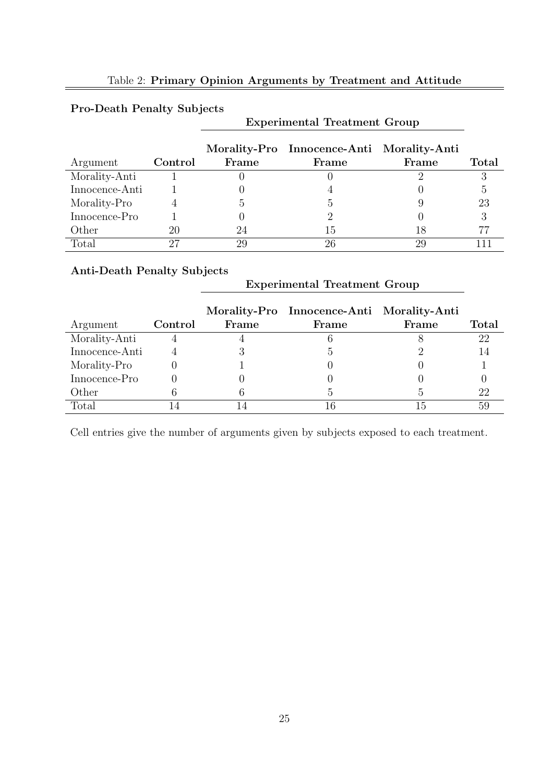| Table 2: Primary Opinion Arguments by Treatment and Attitude |  |  |  |  |  |  |
|--------------------------------------------------------------|--|--|--|--|--|--|
|--------------------------------------------------------------|--|--|--|--|--|--|

|                |         | <b>Experimental Treatment Group</b> |                                                    |       |              |
|----------------|---------|-------------------------------------|----------------------------------------------------|-------|--------------|
| Argument       | Control | Frame                               | Morality-Pro Innocence-Anti Morality-Anti<br>Frame | Frame | <b>Total</b> |
| Morality-Anti  |         |                                     |                                                    |       |              |
| Innocence-Anti |         |                                     |                                                    |       |              |
| Morality-Pro   |         | G,                                  | h,                                                 |       | 23           |
| Innocence-Pro  |         |                                     |                                                    |       |              |
| Other          | 20      | 24                                  | 15                                                 | 18    |              |
| Total          | 27      | 29                                  | 26                                                 | 29    |              |

## Pro-Death Penalty Subjects

## Anti-Death Penalty Subjects

|                |         |       | Morality-Pro Innocence-Anti Morality-Anti |       |              |
|----------------|---------|-------|-------------------------------------------|-------|--------------|
| Argument       | Control | Frame | Frame                                     | Frame | <b>Total</b> |
| Morality-Anti  |         |       |                                           |       | 22           |
| Innocence-Anti |         |       |                                           |       | 14           |
| Morality-Pro   |         |       |                                           |       |              |
| Innocence-Pro  |         |       |                                           |       |              |
| Other          |         |       |                                           |       | 22           |
| Total          |         |       |                                           | 15    |              |

Experimental Treatment Group

Cell entries give the number of arguments given by subjects exposed to each treatment.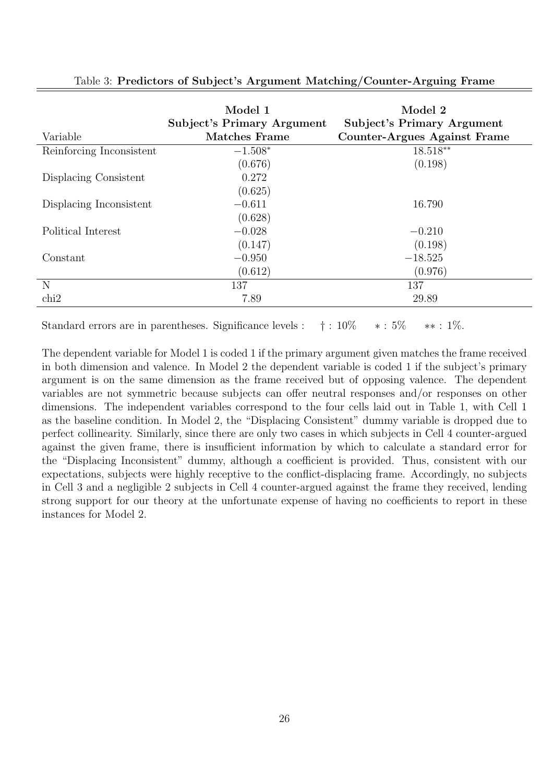| Variable                 | Model 1<br><b>Subject's Primary Argument</b><br><b>Matches Frame</b> | Model 2<br><b>Subject's Primary Argument</b><br><b>Counter-Argues Against Frame</b> |
|--------------------------|----------------------------------------------------------------------|-------------------------------------------------------------------------------------|
| Reinforcing Inconsistent | $-1.508*$                                                            | 18.518**                                                                            |
|                          | (0.676)                                                              | (0.198)                                                                             |
| Displacing Consistent    | 0.272                                                                |                                                                                     |
|                          | (0.625)                                                              |                                                                                     |
| Displacing Inconsistent  | $-0.611$                                                             | 16.790                                                                              |
|                          | (0.628)                                                              |                                                                                     |
| Political Interest       | $-0.028$                                                             | $-0.210$                                                                            |
|                          | (0.147)                                                              | (0.198)                                                                             |
| Constant                 | $-0.950$                                                             | $-18.525$                                                                           |
|                          | (0.612)                                                              | (0.976)                                                                             |
| $\mathbf N$              | 137                                                                  | 137                                                                                 |
| chi2                     | 7.89                                                                 | 29.89                                                                               |

Table 3: Predictors of Subject's Argument Matching/Counter-Arguing Frame

Standard errors are in parentheses. Significance levels :  $\dagger$  : 10%  $*$  : 5%  $*$  : 1%.

The dependent variable for Model 1 is coded 1 if the primary argument given matches the frame received in both dimension and valence. In Model 2 the dependent variable is coded 1 if the subject's primary argument is on the same dimension as the frame received but of opposing valence. The dependent variables are not symmetric because subjects can offer neutral responses and/or responses on other dimensions. The independent variables correspond to the four cells laid out in Table 1, with Cell 1 as the baseline condition. In Model 2, the "Displacing Consistent" dummy variable is dropped due to perfect collinearity. Similarly, since there are only two cases in which subjects in Cell 4 counter-argued against the given frame, there is insufficient information by which to calculate a standard error for the "Displacing Inconsistent" dummy, although a coefficient is provided. Thus, consistent with our expectations, subjects were highly receptive to the conflict-displacing frame. Accordingly, no subjects in Cell 3 and a negligible 2 subjects in Cell 4 counter-argued against the frame they received, lending strong support for our theory at the unfortunate expense of having no coefficients to report in these instances for Model 2.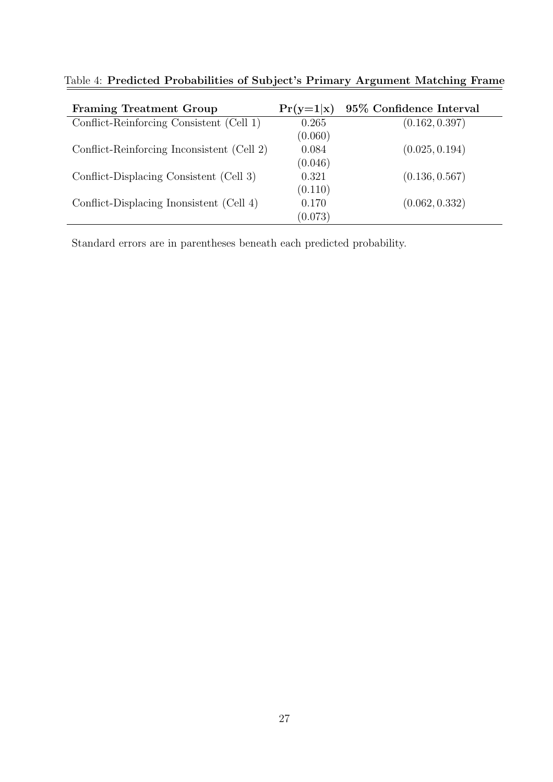| <b>Framing Treatment Group</b>             | $Pr(y=1 x)$ | 95% Confidence Interval |
|--------------------------------------------|-------------|-------------------------|
| Conflict-Reinforcing Consistent (Cell 1)   | 0.265       | (0.162, 0.397)          |
|                                            | (0.060)     |                         |
| Conflict-Reinforcing Inconsistent (Cell 2) | 0.084       | (0.025, 0.194)          |
|                                            | (0.046)     |                         |
| Conflict-Displacing Consistent (Cell 3)    | 0.321       | (0.136, 0.567)          |
|                                            | (0.110)     |                         |
| Conflict-Displacing Inonsistent (Cell 4)   | 0.170       | (0.062, 0.332)          |
|                                            | (0.073)     |                         |

Table 4: Predicted Probabilities of Subject's Primary Argument Matching Frame

Standard errors are in parentheses beneath each predicted probability.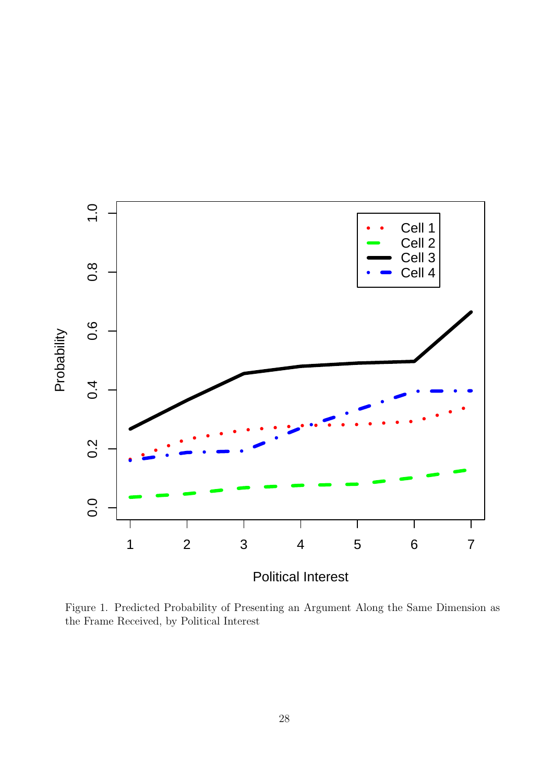

Figure 1. Predicted Probability of Presenting an Argument Along the Same Dimension as the Frame Received, by Political Interest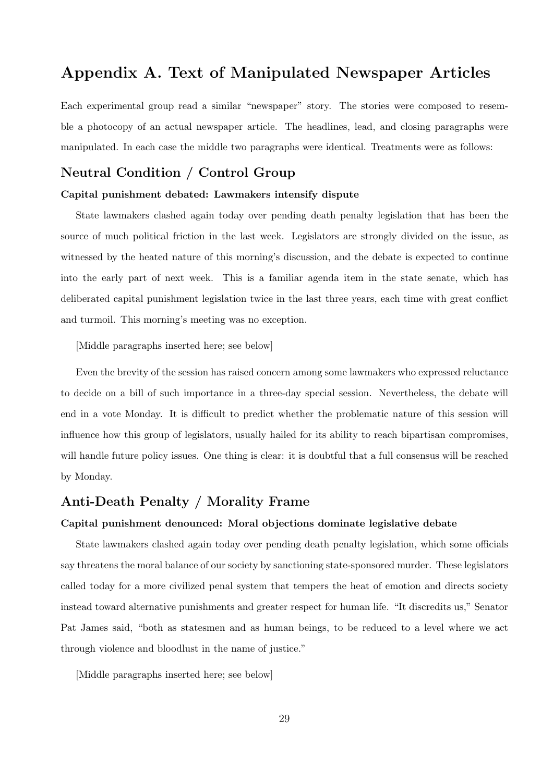## Appendix A. Text of Manipulated Newspaper Articles

Each experimental group read a similar "newspaper" story. The stories were composed to resemble a photocopy of an actual newspaper article. The headlines, lead, and closing paragraphs were manipulated. In each case the middle two paragraphs were identical. Treatments were as follows:

## Neutral Condition / Control Group

#### Capital punishment debated: Lawmakers intensify dispute

State lawmakers clashed again today over pending death penalty legislation that has been the source of much political friction in the last week. Legislators are strongly divided on the issue, as witnessed by the heated nature of this morning's discussion, and the debate is expected to continue into the early part of next week. This is a familiar agenda item in the state senate, which has deliberated capital punishment legislation twice in the last three years, each time with great conflict and turmoil. This morning's meeting was no exception.

[Middle paragraphs inserted here; see below]

Even the brevity of the session has raised concern among some lawmakers who expressed reluctance to decide on a bill of such importance in a three-day special session. Nevertheless, the debate will end in a vote Monday. It is difficult to predict whether the problematic nature of this session will influence how this group of legislators, usually hailed for its ability to reach bipartisan compromises, will handle future policy issues. One thing is clear: it is doubtful that a full consensus will be reached by Monday.

## Anti-Death Penalty / Morality Frame

### Capital punishment denounced: Moral objections dominate legislative debate

State lawmakers clashed again today over pending death penalty legislation, which some officials say threatens the moral balance of our society by sanctioning state-sponsored murder. These legislators called today for a more civilized penal system that tempers the heat of emotion and directs society instead toward alternative punishments and greater respect for human life. "It discredits us," Senator Pat James said, "both as statesmen and as human beings, to be reduced to a level where we act through violence and bloodlust in the name of justice."

[Middle paragraphs inserted here; see below]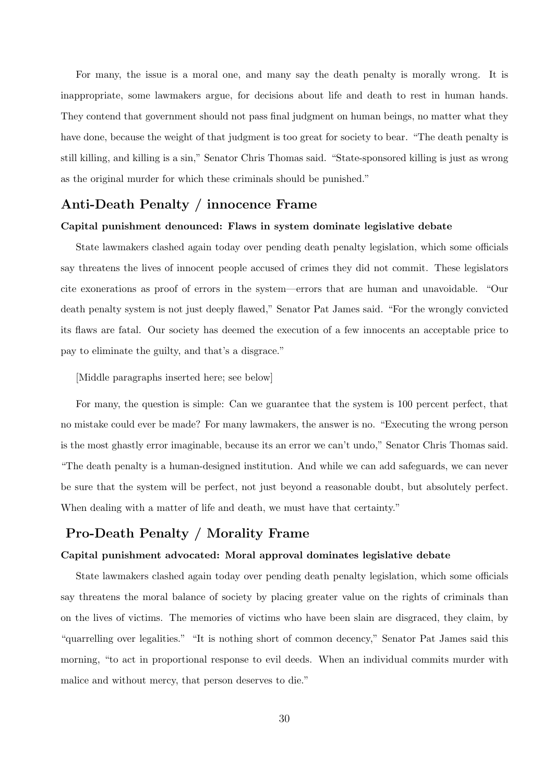For many, the issue is a moral one, and many say the death penalty is morally wrong. It is inappropriate, some lawmakers argue, for decisions about life and death to rest in human hands. They contend that government should not pass final judgment on human beings, no matter what they have done, because the weight of that judgment is too great for society to bear. "The death penalty is still killing, and killing is a sin," Senator Chris Thomas said. "State-sponsored killing is just as wrong as the original murder for which these criminals should be punished."

## Anti-Death Penalty / innocence Frame

#### Capital punishment denounced: Flaws in system dominate legislative debate

State lawmakers clashed again today over pending death penalty legislation, which some officials say threatens the lives of innocent people accused of crimes they did not commit. These legislators cite exonerations as proof of errors in the system—errors that are human and unavoidable. "Our death penalty system is not just deeply flawed," Senator Pat James said. "For the wrongly convicted its flaws are fatal. Our society has deemed the execution of a few innocents an acceptable price to pay to eliminate the guilty, and that's a disgrace."

[Middle paragraphs inserted here; see below]

For many, the question is simple: Can we guarantee that the system is 100 percent perfect, that no mistake could ever be made? For many lawmakers, the answer is no. "Executing the wrong person is the most ghastly error imaginable, because its an error we can't undo," Senator Chris Thomas said. "The death penalty is a human-designed institution. And while we can add safeguards, we can never be sure that the system will be perfect, not just beyond a reasonable doubt, but absolutely perfect. When dealing with a matter of life and death, we must have that certainty."

### Pro-Death Penalty / Morality Frame

### Capital punishment advocated: Moral approval dominates legislative debate

State lawmakers clashed again today over pending death penalty legislation, which some officials say threatens the moral balance of society by placing greater value on the rights of criminals than on the lives of victims. The memories of victims who have been slain are disgraced, they claim, by "quarrelling over legalities." "It is nothing short of common decency," Senator Pat James said this morning, "to act in proportional response to evil deeds. When an individual commits murder with malice and without mercy, that person deserves to die."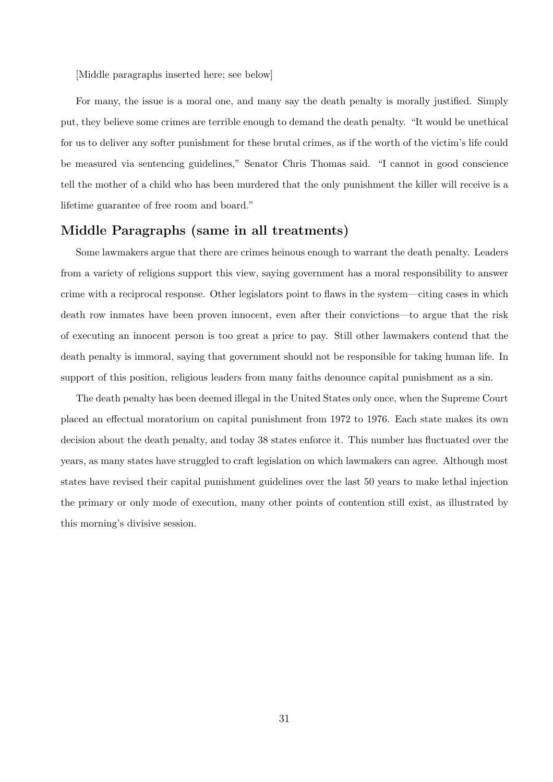[Middle paragraphs inserted here; see below]

For many, the issue is a moral one, and many say the death penalty is morally justified. Simply put, they believe some crimes are terrible enough to demand the death penalty. "It would be unethical for us to deliver any softer punishment for these brutal crimes, as if the worth of the victim's life could be measured via sentencing guidelines," Senator Chris Thomas said. "I cannot in good conscience tell the mother of a child who has been murdered that the only punishment the killer will receive is a lifetime guarantee of free room and board."

### Middle Paragraphs (same in all treatments)

Some lawmakers argue that there are crimes heinous enough to warrant the death penalty. Leaders from a variety of religions support this view, saying government has a moral responsibility to answer crime with a reciprocal response. Other legislators point to flaws in the system—citing cases in which death row inmates have been proven innocent, even after their convictions—to argue that the risk of executing an innocent person is too great a price to pay. Still other lawmakers contend that the death penalty is immoral, saying that government should not be responsible for taking human life. In support of this position, religious leaders from many faiths denounce capital punishment as a sin.

The death penalty has been deemed illegal in the United States only once, when the Supreme Court placed an effectual moratorium on capital punishment from 1972 to 1976. Each state makes its own decision about the death penalty, and today 38 states enforce it. This number has fluctuated over the years, as many states have struggled to craft legislation on which lawmakers can agree. Although most states have revised their capital punishment guidelines over the last 50 years to make lethal injection the primary or only mode of execution, many other points of contention still exist, as illustrated by this morning's divisive session.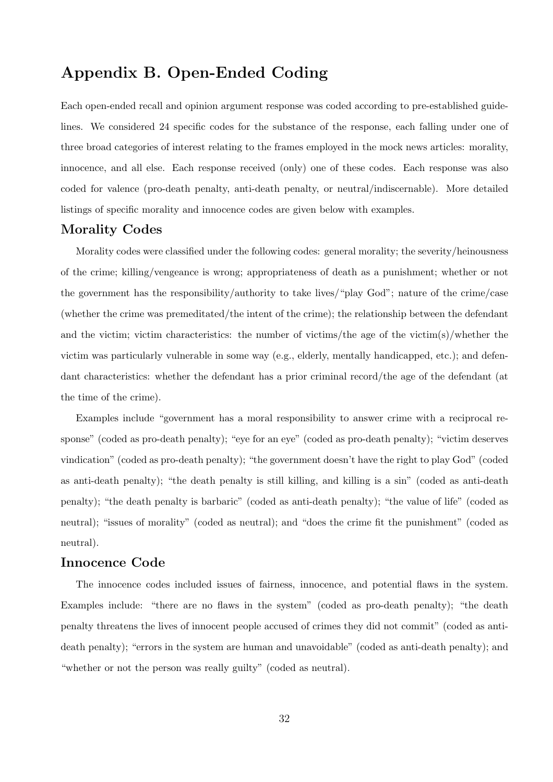## Appendix B. Open-Ended Coding

Each open-ended recall and opinion argument response was coded according to pre-established guidelines. We considered 24 specific codes for the substance of the response, each falling under one of three broad categories of interest relating to the frames employed in the mock news articles: morality, innocence, and all else. Each response received (only) one of these codes. Each response was also coded for valence (pro-death penalty, anti-death penalty, or neutral/indiscernable). More detailed listings of specific morality and innocence codes are given below with examples.

### Morality Codes

Morality codes were classified under the following codes: general morality; the severity/heinousness of the crime; killing/vengeance is wrong; appropriateness of death as a punishment; whether or not the government has the responsibility/authority to take lives/"play God"; nature of the crime/case (whether the crime was premeditated/the intent of the crime); the relationship between the defendant and the victim; victim characteristics: the number of victims/the age of the victim(s)/whether the victim was particularly vulnerable in some way (e.g., elderly, mentally handicapped, etc.); and defendant characteristics: whether the defendant has a prior criminal record/the age of the defendant (at the time of the crime).

Examples include "government has a moral responsibility to answer crime with a reciprocal response" (coded as pro-death penalty); "eye for an eye" (coded as pro-death penalty); "victim deserves vindication" (coded as pro-death penalty); "the government doesn't have the right to play God" (coded as anti-death penalty); "the death penalty is still killing, and killing is a sin" (coded as anti-death penalty); "the death penalty is barbaric" (coded as anti-death penalty); "the value of life" (coded as neutral); "issues of morality" (coded as neutral); and "does the crime fit the punishment" (coded as neutral).

### Innocence Code

The innocence codes included issues of fairness, innocence, and potential flaws in the system. Examples include: "there are no flaws in the system" (coded as pro-death penalty); "the death penalty threatens the lives of innocent people accused of crimes they did not commit" (coded as antideath penalty); "errors in the system are human and unavoidable" (coded as anti-death penalty); and "whether or not the person was really guilty" (coded as neutral).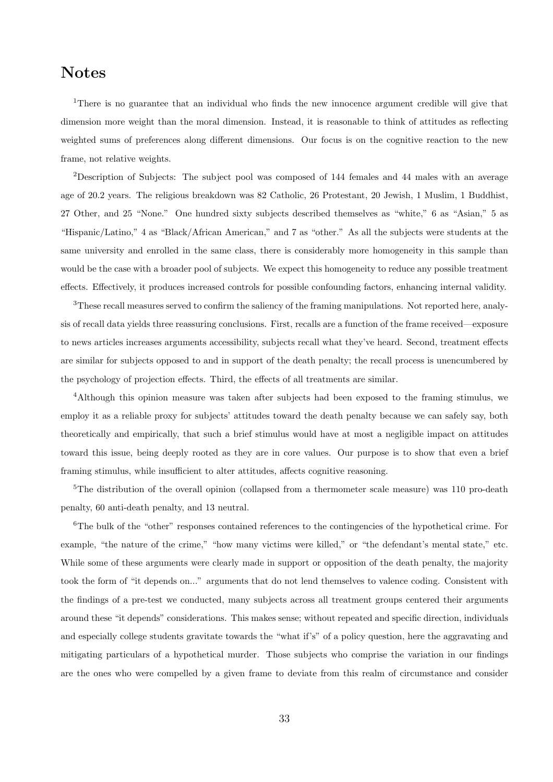## Notes

<sup>1</sup>There is no guarantee that an individual who finds the new innocence argument credible will give that dimension more weight than the moral dimension. Instead, it is reasonable to think of attitudes as reflecting weighted sums of preferences along different dimensions. Our focus is on the cognitive reaction to the new frame, not relative weights.

<sup>2</sup>Description of Subjects: The subject pool was composed of 144 females and 44 males with an average age of 20.2 years. The religious breakdown was 82 Catholic, 26 Protestant, 20 Jewish, 1 Muslim, 1 Buddhist, 27 Other, and 25 "None." One hundred sixty subjects described themselves as "white," 6 as "Asian," 5 as "Hispanic/Latino," 4 as "Black/African American," and 7 as "other." As all the subjects were students at the same university and enrolled in the same class, there is considerably more homogeneity in this sample than would be the case with a broader pool of subjects. We expect this homogeneity to reduce any possible treatment effects. Effectively, it produces increased controls for possible confounding factors, enhancing internal validity.

<sup>3</sup>These recall measures served to confirm the saliency of the framing manipulations. Not reported here, analysis of recall data yields three reassuring conclusions. First, recalls are a function of the frame received—exposure to news articles increases arguments accessibility, subjects recall what they've heard. Second, treatment effects are similar for subjects opposed to and in support of the death penalty; the recall process is unencumbered by the psychology of projection effects. Third, the effects of all treatments are similar.

<sup>4</sup>Although this opinion measure was taken after subjects had been exposed to the framing stimulus, we employ it as a reliable proxy for subjects' attitudes toward the death penalty because we can safely say, both theoretically and empirically, that such a brief stimulus would have at most a negligible impact on attitudes toward this issue, being deeply rooted as they are in core values. Our purpose is to show that even a brief framing stimulus, while insufficient to alter attitudes, affects cognitive reasoning.

<sup>5</sup>The distribution of the overall opinion (collapsed from a thermometer scale measure) was 110 pro-death penalty, 60 anti-death penalty, and 13 neutral.

<sup>6</sup>The bulk of the "other" responses contained references to the contingencies of the hypothetical crime. For example, "the nature of the crime," "how many victims were killed," or "the defendant's mental state," etc. While some of these arguments were clearly made in support or opposition of the death penalty, the majority took the form of "it depends on..." arguments that do not lend themselves to valence coding. Consistent with the findings of a pre-test we conducted, many subjects across all treatment groups centered their arguments around these "it depends" considerations. This makes sense; without repeated and specific direction, individuals and especially college students gravitate towards the "what if's" of a policy question, here the aggravating and mitigating particulars of a hypothetical murder. Those subjects who comprise the variation in our findings are the ones who were compelled by a given frame to deviate from this realm of circumstance and consider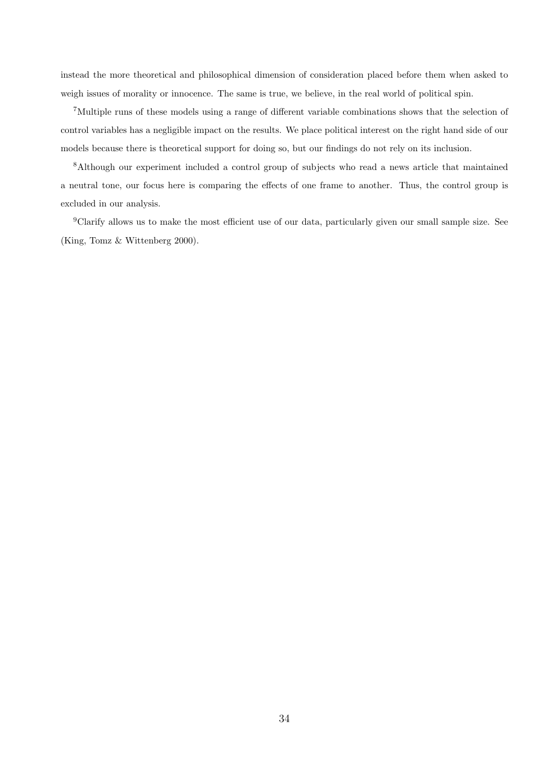instead the more theoretical and philosophical dimension of consideration placed before them when asked to weigh issues of morality or innocence. The same is true, we believe, in the real world of political spin.

<sup>7</sup>Multiple runs of these models using a range of different variable combinations shows that the selection of control variables has a negligible impact on the results. We place political interest on the right hand side of our models because there is theoretical support for doing so, but our findings do not rely on its inclusion.

<sup>8</sup>Although our experiment included a control group of subjects who read a news article that maintained a neutral tone, our focus here is comparing the effects of one frame to another. Thus, the control group is excluded in our analysis.

<sup>9</sup>Clarify allows us to make the most efficient use of our data, particularly given our small sample size. See (King, Tomz & Wittenberg 2000).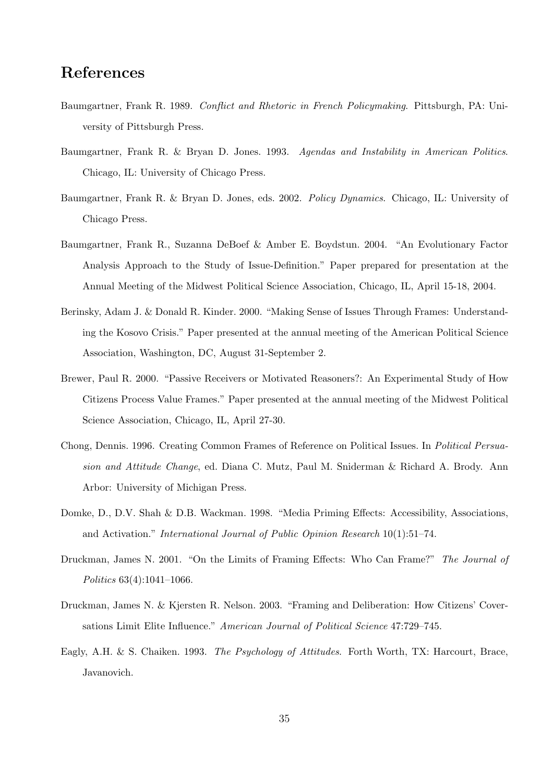## References

- Baumgartner, Frank R. 1989. Conflict and Rhetoric in French Policymaking. Pittsburgh, PA: University of Pittsburgh Press.
- Baumgartner, Frank R. & Bryan D. Jones. 1993. Agendas and Instability in American Politics. Chicago, IL: University of Chicago Press.
- Baumgartner, Frank R. & Bryan D. Jones, eds. 2002. Policy Dynamics. Chicago, IL: University of Chicago Press.
- Baumgartner, Frank R., Suzanna DeBoef & Amber E. Boydstun. 2004. "An Evolutionary Factor Analysis Approach to the Study of Issue-Definition." Paper prepared for presentation at the Annual Meeting of the Midwest Political Science Association, Chicago, IL, April 15-18, 2004.
- Berinsky, Adam J. & Donald R. Kinder. 2000. "Making Sense of Issues Through Frames: Understanding the Kosovo Crisis." Paper presented at the annual meeting of the American Political Science Association, Washington, DC, August 31-September 2.
- Brewer, Paul R. 2000. "Passive Receivers or Motivated Reasoners?: An Experimental Study of How Citizens Process Value Frames." Paper presented at the annual meeting of the Midwest Political Science Association, Chicago, IL, April 27-30.
- Chong, Dennis. 1996. Creating Common Frames of Reference on Political Issues. In Political Persuasion and Attitude Change, ed. Diana C. Mutz, Paul M. Sniderman & Richard A. Brody. Ann Arbor: University of Michigan Press.
- Domke, D., D.V. Shah & D.B. Wackman. 1998. "Media Priming Effects: Accessibility, Associations, and Activation." International Journal of Public Opinion Research 10(1):51–74.
- Druckman, James N. 2001. "On the Limits of Framing Effects: Who Can Frame?" The Journal of Politics 63(4):1041–1066.
- Druckman, James N. & Kjersten R. Nelson. 2003. "Framing and Deliberation: How Citizens' Coversations Limit Elite Influence." American Journal of Political Science 47:729–745.
- Eagly, A.H. & S. Chaiken. 1993. The Psychology of Attitudes. Forth Worth, TX: Harcourt, Brace, Javanovich.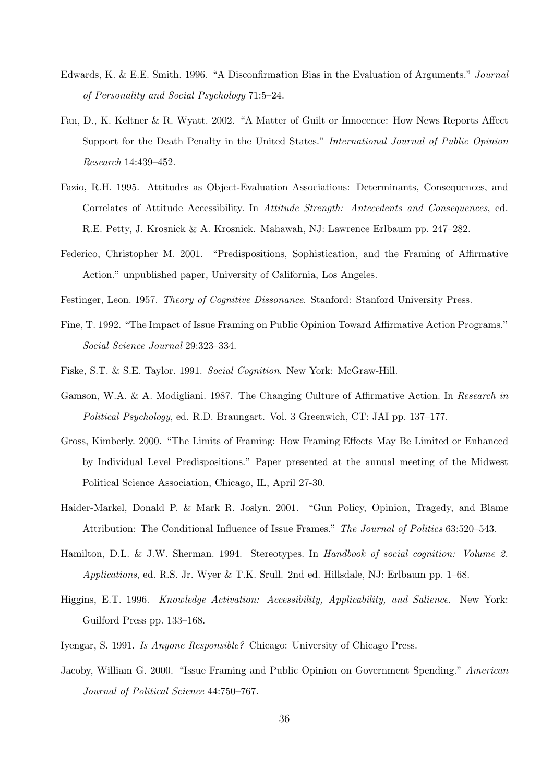- Edwards, K. & E.E. Smith. 1996. "A Disconfirmation Bias in the Evaluation of Arguments." Journal of Personality and Social Psychology 71:5–24.
- Fan, D., K. Keltner & R. Wyatt. 2002. "A Matter of Guilt or Innocence: How News Reports Affect Support for the Death Penalty in the United States." International Journal of Public Opinion Research 14:439–452.
- Fazio, R.H. 1995. Attitudes as Object-Evaluation Associations: Determinants, Consequences, and Correlates of Attitude Accessibility. In Attitude Strength: Antecedents and Consequences, ed. R.E. Petty, J. Krosnick & A. Krosnick. Mahawah, NJ: Lawrence Erlbaum pp. 247–282.
- Federico, Christopher M. 2001. "Predispositions, Sophistication, and the Framing of Affirmative Action." unpublished paper, University of California, Los Angeles.

Festinger, Leon. 1957. Theory of Cognitive Dissonance. Stanford: Stanford University Press.

- Fine, T. 1992. "The Impact of Issue Framing on Public Opinion Toward Affirmative Action Programs." Social Science Journal 29:323–334.
- Fiske, S.T. & S.E. Taylor. 1991. Social Cognition. New York: McGraw-Hill.
- Gamson, W.A. & A. Modigliani. 1987. The Changing Culture of Affirmative Action. In Research in Political Psychology, ed. R.D. Braungart. Vol. 3 Greenwich, CT: JAI pp. 137–177.
- Gross, Kimberly. 2000. "The Limits of Framing: How Framing Effects May Be Limited or Enhanced by Individual Level Predispositions." Paper presented at the annual meeting of the Midwest Political Science Association, Chicago, IL, April 27-30.
- Haider-Markel, Donald P. & Mark R. Joslyn. 2001. "Gun Policy, Opinion, Tragedy, and Blame Attribution: The Conditional Influence of Issue Frames." The Journal of Politics 63:520–543.
- Hamilton, D.L. & J.W. Sherman. 1994. Stereotypes. In Handbook of social cognition: Volume 2. Applications, ed. R.S. Jr. Wyer & T.K. Srull. 2nd ed. Hillsdale, NJ: Erlbaum pp. 1–68.
- Higgins, E.T. 1996. Knowledge Activation: Accessibility, Applicability, and Salience. New York: Guilford Press pp. 133–168.
- Iyengar, S. 1991. Is Anyone Responsible? Chicago: University of Chicago Press.
- Jacoby, William G. 2000. "Issue Framing and Public Opinion on Government Spending." American Journal of Political Science 44:750–767.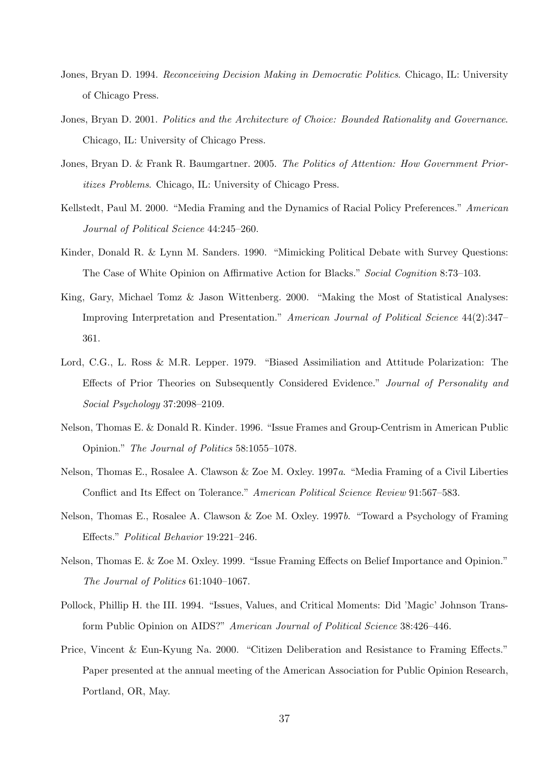- Jones, Bryan D. 1994. Reconceiving Decision Making in Democratic Politics. Chicago, IL: University of Chicago Press.
- Jones, Bryan D. 2001. Politics and the Architecture of Choice: Bounded Rationality and Governance. Chicago, IL: University of Chicago Press.
- Jones, Bryan D. & Frank R. Baumgartner. 2005. The Politics of Attention: How Government Prioritizes Problems. Chicago, IL: University of Chicago Press.
- Kellstedt, Paul M. 2000. "Media Framing and the Dynamics of Racial Policy Preferences." American Journal of Political Science 44:245–260.
- Kinder, Donald R. & Lynn M. Sanders. 1990. "Mimicking Political Debate with Survey Questions: The Case of White Opinion on Affirmative Action for Blacks." Social Cognition 8:73–103.
- King, Gary, Michael Tomz & Jason Wittenberg. 2000. "Making the Most of Statistical Analyses: Improving Interpretation and Presentation." American Journal of Political Science 44(2):347– 361.
- Lord, C.G., L. Ross & M.R. Lepper. 1979. "Biased Assimiliation and Attitude Polarization: The Effects of Prior Theories on Subsequently Considered Evidence." Journal of Personality and Social Psychology 37:2098–2109.
- Nelson, Thomas E. & Donald R. Kinder. 1996. "Issue Frames and Group-Centrism in American Public Opinion." The Journal of Politics 58:1055–1078.
- Nelson, Thomas E., Rosalee A. Clawson & Zoe M. Oxley. 1997a. "Media Framing of a Civil Liberties Conflict and Its Effect on Tolerance." American Political Science Review 91:567–583.
- Nelson, Thomas E., Rosalee A. Clawson & Zoe M. Oxley. 1997b. "Toward a Psychology of Framing Effects." Political Behavior 19:221–246.
- Nelson, Thomas E. & Zoe M. Oxley. 1999. "Issue Framing Effects on Belief Importance and Opinion." The Journal of Politics 61:1040–1067.
- Pollock, Phillip H. the III. 1994. "Issues, Values, and Critical Moments: Did 'Magic' Johnson Transform Public Opinion on AIDS?" American Journal of Political Science 38:426–446.
- Price, Vincent & Eun-Kyung Na. 2000. "Citizen Deliberation and Resistance to Framing Effects." Paper presented at the annual meeting of the American Association for Public Opinion Research, Portland, OR, May.